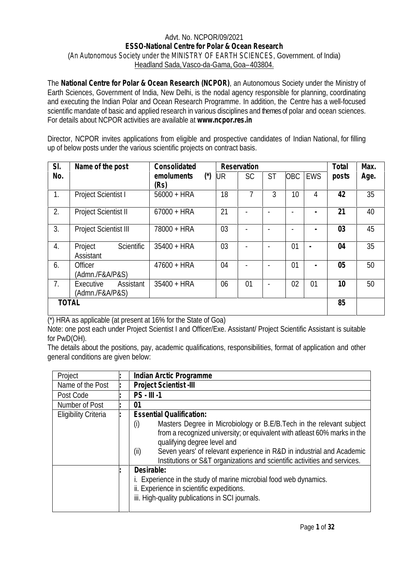## Advt. No. NCPOR/09/2021 **ESSO-National Centre for Polar & Ocean Research** (*An Autonomous Society under the MINISTRY OF EARTH SCIENCES*, Government. of India) Headland Sada,Vasco-da-Gama,Goa–403804.

The **National Centre for Polar & Ocean Research (NCPOR)**, an Autonomous Society under the Ministry of Earth Sciences, Government of India, New Delhi, is the nodal agency responsible for planning, coordinating and executing the Indian Polar and Ocean Research Programme. In addition, the Centre has a well-focused scientific mandate of basic and applied research in various disciplines and themes of polar and ocean sciences. For details about NCPOR activities are available at **www.ncpor.res.in**

Director, NCPOR invites applications from eligible and prospective candidates of Indian National, for filling up of below posts under the various scientific projects on contract basis.

| SI.          | Name of the post             |            | Consolidated       |                       |    | Reservation |                |            |                | Total | Max. |
|--------------|------------------------------|------------|--------------------|-----------------------|----|-------------|----------------|------------|----------------|-------|------|
| No.          |                              |            | emoluments<br>(Rs) | $(\dot{\phantom{a}})$ | UR | <b>SC</b>   | <b>ST</b>      | <b>OBC</b> | <b>EWS</b>     | posts | Age. |
| 1.           | <b>Project Scientist I</b>   |            | $56000 + HRA$      |                       | 18 | 7           | $\overline{3}$ | 10         | 4              | 42    | 35   |
| 2.           | <b>Project Scientist II</b>  |            | $67000 + HRA$      |                       | 21 |             |                |            |                | 21    | 40   |
| 3.           | <b>Project Scientist III</b> |            | 78000 + HRA        |                       | 03 |             |                |            |                | 03    | 45   |
| 4.           | Project<br>Assistant         | Scientific | $35400 + HRA$      |                       | 03 |             |                | 01         | $\blacksquare$ | 04    | 35   |
| 6.           | Officer<br>(Admn./F&A/P&S)   |            | $47600 + HRA$      |                       | 04 |             |                | 01         |                | 05    | 50   |
| 7.           | Executive<br>(Admn./F&A/P&S) | Assistant  | $35400 + HRA$      |                       | 06 | 01          |                | 02         | 01             | 10    | 50   |
| <b>TOTAL</b> |                              |            |                    |                       |    |             |                |            |                | 85    |      |

(\*) HRA as applicable (at present at 16% for the State of Goa)

Note: one post each under Project Scientist I and Officer/Exe. Assistant/ Project Scientific Assistant is suitable for PwD(OH).

The details about the positions, pay, academic qualifications, responsibilities, format of application and other general conditions are given below:

| Project                     | Indian Arctic Programme                                                                                                                                                                                                                                                                                                                                                                                                                                                     |  |  |
|-----------------------------|-----------------------------------------------------------------------------------------------------------------------------------------------------------------------------------------------------------------------------------------------------------------------------------------------------------------------------------------------------------------------------------------------------------------------------------------------------------------------------|--|--|
| Name of the Post            | Project Scientist -III                                                                                                                                                                                                                                                                                                                                                                                                                                                      |  |  |
| Post Code                   | $PS - III - 1$                                                                                                                                                                                                                                                                                                                                                                                                                                                              |  |  |
| Number of Post              | 01                                                                                                                                                                                                                                                                                                                                                                                                                                                                          |  |  |
| <b>Eligibility Criteria</b> | <b>Essential Qualification:</b><br>Masters Degree in Microbiology or B.E/B.Tech in the relevant subject<br>(i)<br>from a recognized university; or equivalent with atleast 60% marks in the<br>qualifying degree level and<br>Seven years' of relevant experience in R&D in industrial and Academic<br>(ii)<br>Institutions or S&T organizations and scientific activities and services.<br>Desirable:<br>i. Experience in the study of marine microbial food web dynamics. |  |  |
|                             | ii. Experience in scientific expeditions.<br>iii. High-quality publications in SCI journals.                                                                                                                                                                                                                                                                                                                                                                                |  |  |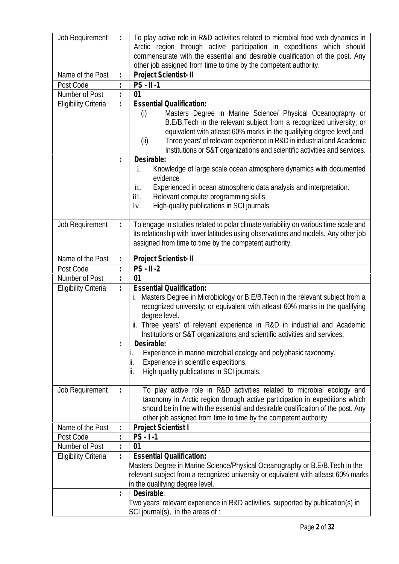| Job Requirement                                                                | To play active role in R&D activities related to microbial food web dynamics in<br>Arctic region through active participation in expeditions which should<br>commensurate with the essential and desirable qualification of the post. Any<br>other job assigned from time to time by the competent authority.                                                                                                                                                                                                    |
|--------------------------------------------------------------------------------|------------------------------------------------------------------------------------------------------------------------------------------------------------------------------------------------------------------------------------------------------------------------------------------------------------------------------------------------------------------------------------------------------------------------------------------------------------------------------------------------------------------|
| Name of the Post                                                               | Project Scientist- II                                                                                                                                                                                                                                                                                                                                                                                                                                                                                            |
| Post Code                                                                      | $PS - II -1$                                                                                                                                                                                                                                                                                                                                                                                                                                                                                                     |
| Number of Post                                                                 | 01                                                                                                                                                                                                                                                                                                                                                                                                                                                                                                               |
| <b>Eligibility Criteria</b>                                                    | <b>Essential Qualification:</b><br>Masters Degree in Marine Science/ Physical Oceanography or<br>(i)<br>B.E/B.Tech in the relevant subject from a recognized university; or<br>equivalent with atleast 60% marks in the qualifying degree level and<br>Three years' of relevant experience in R&D in industrial and Academic<br>(ii)<br>Institutions or S&T organizations and scientific activities and services.                                                                                                |
|                                                                                | Desirable:<br>Knowledge of large scale ocean atmosphere dynamics with documented<br>i.<br>evidence<br>Experienced in ocean atmospheric data analysis and interpretation.<br>ii.<br>Relevant computer programming skills<br>iii.<br>High-quality publications in SCI journals.<br>iv.                                                                                                                                                                                                                             |
| <b>Job Requirement</b>                                                         | To engage in studies related to polar climate variability on various time scale and<br>its relationship with lower latitudes using observations and models. Any other job<br>assigned from time to time by the competent authority.                                                                                                                                                                                                                                                                              |
| Name of the Post<br>Post Code<br>Number of Post<br><b>Eligibility Criteria</b> | Project Scientist-II<br>$PS - II -2$<br>01<br><b>Essential Qualification:</b><br>Masters Degree in Microbiology or B.E/B. Tech in the relevant subject from a<br>i.<br>recognized university; or equivalent with atleast 60% marks in the qualifying<br>degree level.<br>ii. Three years' of relevant experience in R&D in industrial and Academic<br>Institutions or S&T organizations and scientific activities and services.<br>Desirable:<br>Experience in marine microbial ecology and polyphasic taxonomy. |
|                                                                                | Experience in scientific expeditions.<br>II.<br>High-quality publications in SCI journals.<br>lii.                                                                                                                                                                                                                                                                                                                                                                                                               |
| <b>Job Requirement</b>                                                         | To play active role in R&D activities related to microbial ecology and<br>taxonomy in Arctic region through active participation in expeditions which<br>should be in line with the essential and desirable qualification of the post. Any<br>other job assigned from time to time by the competent authority.                                                                                                                                                                                                   |
| Name of the Post                                                               | Project Scientist I                                                                                                                                                                                                                                                                                                                                                                                                                                                                                              |
| Post Code                                                                      | $PS$ $\vert$ 1                                                                                                                                                                                                                                                                                                                                                                                                                                                                                                   |
| Number of Post                                                                 | 01                                                                                                                                                                                                                                                                                                                                                                                                                                                                                                               |
| <b>Eligibility Criteria</b>                                                    | <b>Essential Qualification:</b><br>Masters Degree in Marine Science/Physical Oceanography or B.E/B. Tech in the<br>relevant subject from a recognized university or equivalent with atleast 60% marks<br>in the qualifying degree level.                                                                                                                                                                                                                                                                         |
|                                                                                | Desirable:<br>Two years' relevant experience in R&D activities, supported by publication(s) in<br>SCI journal(s), in the areas of :                                                                                                                                                                                                                                                                                                                                                                              |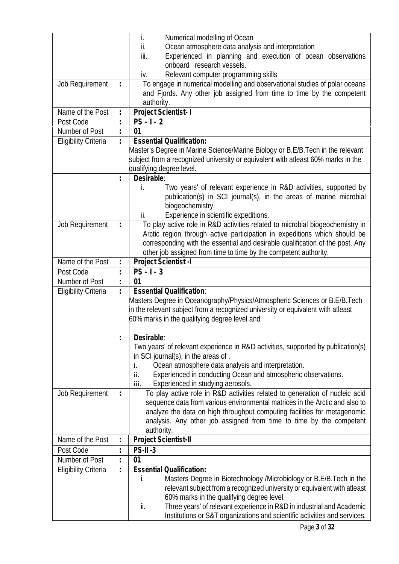|                             | Numerical modelling of Ocean<br>İ.                                               |
|-----------------------------|----------------------------------------------------------------------------------|
|                             | ii.<br>Ocean atmosphere data analysis and interpretation                         |
|                             | Experienced in planning and execution of ocean observations<br>iii.              |
|                             | onboard research vessels.                                                        |
|                             | Relevant computer programming skills<br>iv.                                      |
| Job Requirement             | To engage in numerical modelling and observational studies of polar oceans       |
|                             | and Fjords. Any other job assigned from time to time by the competent            |
|                             | authority.                                                                       |
| Name of the Post            | Project Scientist-1                                                              |
| Post Code                   | $PS - 1 - 2$                                                                     |
| Number of Post              | 01                                                                               |
|                             | <b>Essential Qualification:</b>                                                  |
| <b>Eligibility Criteria</b> |                                                                                  |
|                             | Master's Degree in Marine Science/Marine Biology or B.E/B.Tech in the relevant   |
|                             | subject from a recognized university or equivalent with atleast 60% marks in the |
|                             | qualifying degree level.                                                         |
|                             | Desirable:                                                                       |
|                             | Two years' of relevant experience in R&D activities, supported by<br>İ.          |
|                             | publication(s) in SCI journal(s), in the areas of marine microbial               |
|                             | biogeochemistry.                                                                 |
|                             | Experience in scientific expeditions.<br>ii.                                     |
| <b>Job Requirement</b>      | To play active role in R&D activities related to microbial biogeochemistry in    |
|                             | Arctic region through active participation in expeditions which should be        |
|                             | corresponding with the essential and desirable qualification of the post. Any    |
|                             | other job assigned from time to time by the competent authority.                 |
| Name of the Post            | Project Scientist - I                                                            |
| Post Code                   | $PS - 1 - 3$                                                                     |
| Number of Post              | 01                                                                               |
| <b>Eligibility Criteria</b> | <b>Essential Qualification:</b>                                                  |
|                             | Masters Degree in Oceanography/Physics/Atmospheric Sciences or B.E/B.Tech        |
|                             | in the relevant subject from a recognized university or equivalent with atleast  |
|                             | 60% marks in the qualifying degree level and                                     |
|                             |                                                                                  |
|                             | Desirable:                                                                       |
|                             | Two years' of relevant experience in R&D activities, supported by publication(s) |
|                             | in SCI journal(s), in the areas of.                                              |
|                             | Ocean atmosphere data analysis and interpretation.<br>i.                         |
|                             | Experienced in conducting Ocean and atmospheric observations.<br>ii.             |
|                             | iii.<br>Experienced in studying aerosols.                                        |
| Job Requirement             | To play active role in R&D activities related to generation of nucleic acid      |
|                             | sequence data from various environmental matrices in the Arctic and also to      |
|                             | analyze the data on high throughput computing facilities for metagenomic         |
|                             | analysis. Any other job assigned from time to time by the competent              |
|                             | authority.                                                                       |
| Name of the Post            | Project Scientist-II                                                             |
| Post Code                   | $PS-II-3$                                                                        |
| Number of Post              | 01                                                                               |
|                             | <b>Essential Qualification:</b>                                                  |
| <b>Eligibility Criteria</b> |                                                                                  |
|                             | Masters Degree in Biotechnology /Microbiology or B.E/B.Tech in the<br>İ.         |
|                             | relevant subject from a recognized university or equivalent with atleast         |
|                             | 60% marks in the qualifying degree level.                                        |
|                             | Three years' of relevant experience in R&D in industrial and Academic<br>ii.     |
|                             | Institutions or S&T organizations and scientific activities and services.        |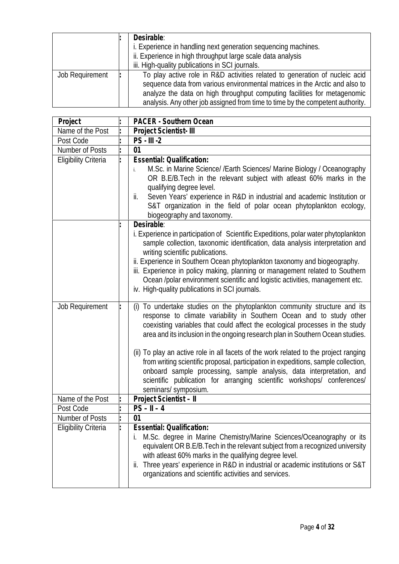|                 | Desirable:                                                                     |  |  |
|-----------------|--------------------------------------------------------------------------------|--|--|
|                 | i. Experience in handling next generation sequencing machines.                 |  |  |
|                 | ii. Experience in high throughput large scale data analysis                    |  |  |
|                 | iii. High-quality publications in SCI journals.                                |  |  |
| Job Requirement | To play active role in R&D activities related to generation of nucleic acid    |  |  |
|                 | sequence data from various environmental matrices in the Arctic and also to    |  |  |
|                 | analyze the data on high throughput computing facilities for metagenomic       |  |  |
|                 | analysis. Any other job assigned from time to time by the competent authority. |  |  |

| Project                     | PACER - Southern Ocean                                                                                                                                                                                                                                                                                                                                                                                                                                                                                                                                                                                                                                                          |
|-----------------------------|---------------------------------------------------------------------------------------------------------------------------------------------------------------------------------------------------------------------------------------------------------------------------------------------------------------------------------------------------------------------------------------------------------------------------------------------------------------------------------------------------------------------------------------------------------------------------------------------------------------------------------------------------------------------------------|
| Name of the Post            | Project Scientist- III                                                                                                                                                                                                                                                                                                                                                                                                                                                                                                                                                                                                                                                          |
| Post Code                   | $PS - III -2$                                                                                                                                                                                                                                                                                                                                                                                                                                                                                                                                                                                                                                                                   |
| Number of Posts             | 01                                                                                                                                                                                                                                                                                                                                                                                                                                                                                                                                                                                                                                                                              |
| <b>Eligibility Criteria</b> | <b>Essential: Qualification:</b>                                                                                                                                                                                                                                                                                                                                                                                                                                                                                                                                                                                                                                                |
|                             | M.Sc. in Marine Science/ /Earth Sciences/ Marine Biology / Oceanography<br>j.<br>OR B.E/B.Tech in the relevant subject with atleast 60% marks in the<br>qualifying degree level.<br>Seven Years' experience in R&D in industrial and academic Institution or<br>ii.<br>S&T organization in the field of polar ocean phytoplankton ecology,<br>biogeography and taxonomy.                                                                                                                                                                                                                                                                                                        |
|                             | Desirable:<br>i. Experience in participation of Scientific Expeditions, polar water phytoplankton<br>sample collection, taxonomic identification, data analysis interpretation and<br>writing scientific publications.<br>ii. Experience in Southern Ocean phytoplankton taxonomy and biogeography.<br>iii. Experience in policy making, planning or management related to Southern<br>Ocean /polar environment scientific and logistic activities, management etc.<br>iv. High-quality publications in SCI journals.                                                                                                                                                           |
| Job Requirement             | To undertake studies on the phytoplankton community structure and its<br>(i)<br>response to climate variability in Southern Ocean and to study other<br>coexisting variables that could affect the ecological processes in the study<br>area and its inclusion in the ongoing research plan in Southern Ocean studies.<br>(ii) To play an active role in all facets of the work related to the project ranging<br>from writing scientific proposal, participation in expeditions, sample collection,<br>onboard sample processing, sample analysis, data interpretation, and<br>scientific publication for arranging scientific workshops/ conferences/<br>seminars/ symposium. |
| Name of the Post            | Project Scientist - II                                                                                                                                                                                                                                                                                                                                                                                                                                                                                                                                                                                                                                                          |
| Post Code                   | $PS - II - 4$                                                                                                                                                                                                                                                                                                                                                                                                                                                                                                                                                                                                                                                                   |
| Number of Posts             | 01                                                                                                                                                                                                                                                                                                                                                                                                                                                                                                                                                                                                                                                                              |
| <b>Eligibility Criteria</b> | <b>Essential: Qualification:</b><br>M.Sc. degree in Marine Chemistry/Marine Sciences/Oceanography or its<br>j.<br>equivalent OR B.E/B. Tech in the relevant subject from a recognized university<br>with atleast 60% marks in the qualifying degree level.<br>Three years' experience in R&D in industrial or academic institutions or S&T<br>ii.<br>organizations and scientific activities and services.                                                                                                                                                                                                                                                                      |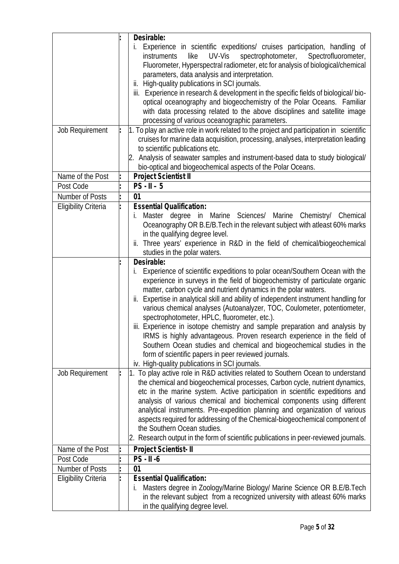|                              | Desirable:                                                                                                                                                                                                                                            |
|------------------------------|-------------------------------------------------------------------------------------------------------------------------------------------------------------------------------------------------------------------------------------------------------|
|                              | Experience in scientific expeditions/ cruises participation, handling of<br>İ.<br>UV-Vis<br>spectrophotometer,<br>like<br>Spectrofluorometer,<br><i>instruments</i><br>Fluorometer, Hyperspectral radiometer, etc for analysis of biological/chemical |
|                              | parameters, data analysis and interpretation.                                                                                                                                                                                                         |
|                              | ii. High-quality publications in SCI journals.                                                                                                                                                                                                        |
|                              | iii. Experience in research & development in the specific fields of biological/bio-                                                                                                                                                                   |
|                              | optical oceanography and biogeochemistry of the Polar Oceans. Familiar                                                                                                                                                                                |
|                              | with data processing related to the above disciplines and satellite image                                                                                                                                                                             |
|                              | processing of various oceanographic parameters.                                                                                                                                                                                                       |
| Job Requirement              | 1. To play an active role in work related to the project and participation in scientific                                                                                                                                                              |
|                              | cruises for marine data acquisition, processing, analyses, interpretation leading                                                                                                                                                                     |
|                              | to scientific publications etc.                                                                                                                                                                                                                       |
|                              | Analysis of seawater samples and instrument-based data to study biological/<br>2.                                                                                                                                                                     |
|                              | bio-optical and biogeochemical aspects of the Polar Oceans.                                                                                                                                                                                           |
| Name of the Post             | Project Scientist II                                                                                                                                                                                                                                  |
| Post Code                    | $PS - II - 5$                                                                                                                                                                                                                                         |
| Number of Posts              | 01                                                                                                                                                                                                                                                    |
| <b>Eligibility Criteria</b>  | <b>Essential Qualification:</b>                                                                                                                                                                                                                       |
|                              | Master degree in Marine Sciences/ Marine Chemistry/ Chemical<br>İ.                                                                                                                                                                                    |
|                              | Oceanography OR B.E/B. Tech in the relevant subject with atleast 60% marks                                                                                                                                                                            |
|                              | in the qualifying degree level.                                                                                                                                                                                                                       |
|                              | Three years' experience in R&D in the field of chemical/biogeochemical<br>ii.<br>studies in the polar waters.                                                                                                                                         |
|                              | Desirable:                                                                                                                                                                                                                                            |
|                              | Experience of scientific expeditions to polar ocean/Southern Ocean with the<br>İ.                                                                                                                                                                     |
|                              | experience in surveys in the field of biogeochemistry of particulate organic                                                                                                                                                                          |
|                              | matter, carbon cycle and nutrient dynamics in the polar waters.                                                                                                                                                                                       |
|                              | ii. Expertise in analytical skill and ability of independent instrument handling for                                                                                                                                                                  |
|                              | various chemical analyses (Autoanalyzer, TOC, Coulometer, potentiometer,                                                                                                                                                                              |
|                              | spectrophotometer, HPLC, fluorometer, etc.).                                                                                                                                                                                                          |
|                              | iii. Experience in isotope chemistry and sample preparation and analysis by                                                                                                                                                                           |
|                              | IRMS is highly advantageous. Proven research experience in the field of                                                                                                                                                                               |
|                              | Southern Ocean studies and chemical and biogeochemical studies in the                                                                                                                                                                                 |
|                              | form of scientific papers in peer reviewed journals.                                                                                                                                                                                                  |
|                              | iv. High-quality publications in SCI journals.                                                                                                                                                                                                        |
| Job Requirement              | 1. To play active role in R&D activities related to Southern Ocean to understand                                                                                                                                                                      |
|                              | the chemical and biogeochemical processes, Carbon cycle, nutrient dynamics,                                                                                                                                                                           |
|                              | etc in the marine system. Active participation in scientific expeditions and                                                                                                                                                                          |
|                              | analysis of various chemical and biochemical components using different                                                                                                                                                                               |
|                              | analytical instruments. Pre-expedition planning and organization of various                                                                                                                                                                           |
|                              | aspects required for addressing of the Chemical-biogeochemical component of<br>the Southern Ocean studies.                                                                                                                                            |
|                              | 2. Research output in the form of scientific publications in peer-reviewed journals.                                                                                                                                                                  |
|                              |                                                                                                                                                                                                                                                       |
| Name of the Post             | Project Scientist-II                                                                                                                                                                                                                                  |
| Post Code<br>Number of Posts | $PS - II - 6$<br>01                                                                                                                                                                                                                                   |
| <b>Eligibility Criteria</b>  | <b>Essential Qualification:</b>                                                                                                                                                                                                                       |
|                              | Masters degree in Zoology/Marine Biology/ Marine Science OR B.E/B.Tech<br>İ.                                                                                                                                                                          |
|                              | in the relevant subject from a recognized university with atleast 60% marks                                                                                                                                                                           |
|                              | in the qualifying degree level.                                                                                                                                                                                                                       |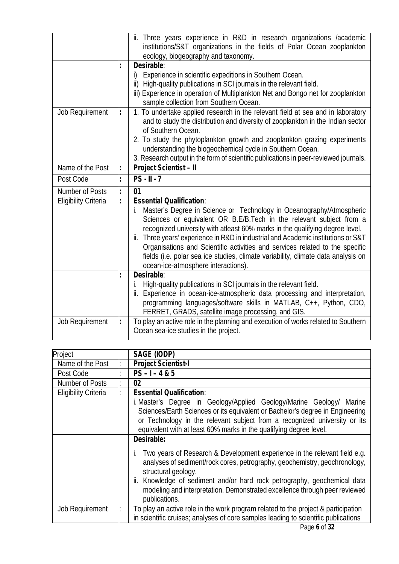|                             | ii. Three years experience in R&D in research organizations /academic<br>institutions/S&T organizations in the fields of Polar Ocean zooplankton<br>ecology, biogeography and taxonomy.<br>Desirable:<br>Experience in scientific expeditions in Southern Ocean.<br>i)<br>High-quality publications in SCI journals in the relevant field.<br>$\mathsf{ii}$<br>iii) Experience in operation of Multiplankton Net and Bongo net for zooplankton<br>sample collection from Southern Ocean.                                                                                 |
|-----------------------------|--------------------------------------------------------------------------------------------------------------------------------------------------------------------------------------------------------------------------------------------------------------------------------------------------------------------------------------------------------------------------------------------------------------------------------------------------------------------------------------------------------------------------------------------------------------------------|
| Job Requirement             | 1. To undertake applied research in the relevant field at sea and in laboratory<br>and to study the distribution and diversity of zooplankton in the Indian sector<br>of Southern Ocean.<br>2. To study the phytoplankton growth and zooplankton grazing experiments<br>understanding the biogeochemical cycle in Southern Ocean.<br>3. Research output in the form of scientific publications in peer-reviewed journals.                                                                                                                                                |
| Name of the Post            | Project Scientist - II                                                                                                                                                                                                                                                                                                                                                                                                                                                                                                                                                   |
| Post Code                   | $PS - II - 7$                                                                                                                                                                                                                                                                                                                                                                                                                                                                                                                                                            |
| Number of Posts             | 01                                                                                                                                                                                                                                                                                                                                                                                                                                                                                                                                                                       |
| <b>Eligibility Criteria</b> | <b>Essential Qualification:</b><br>Master's Degree in Science or Technology in Oceanography/Atmospheric<br>i.<br>Sciences or equivalent OR B.E/B.Tech in the relevant subject from a<br>recognized university with atleast 60% marks in the qualifying degree level.<br>Three years' experience in R&D in industrial and Academic institutions or S&T<br>ii.<br>Organisations and Scientific activities and services related to the specific<br>fields (i.e. polar sea ice studies, climate variability, climate data analysis on<br>ocean-ice-atmosphere interactions). |
|                             |                                                                                                                                                                                                                                                                                                                                                                                                                                                                                                                                                                          |
|                             | Desirable:<br>High-quality publications in SCI journals in the relevant field.<br>i.<br>Experience in ocean-ice-atmospheric data processing and interpretation,<br>ii.<br>programming languages/software skills in MATLAB, C++, Python, CDO,<br>FERRET, GRADS, satellite image processing, and GIS.                                                                                                                                                                                                                                                                      |

| Project                     | SAGE (IODP)                                                                                                                                                                                                                                                                                              |
|-----------------------------|----------------------------------------------------------------------------------------------------------------------------------------------------------------------------------------------------------------------------------------------------------------------------------------------------------|
| Name of the Post            | <b>Project Scientist-I</b>                                                                                                                                                                                                                                                                               |
| Post Code                   | $PS - 1 - 4 & 5$                                                                                                                                                                                                                                                                                         |
| Number of Posts             | 02                                                                                                                                                                                                                                                                                                       |
| <b>Eligibility Criteria</b> | <b>Essential Qualification:</b>                                                                                                                                                                                                                                                                          |
|                             | i. Master's Degree in Geology/Applied Geology/Marine Geology/ Marine<br>Sciences/Earth Sciences or its equivalent or Bachelor's degree in Engineering<br>or Technology in the relevant subject from a recognized university or its<br>equivalent with at least 60% marks in the qualifying degree level. |
|                             | Desirable:                                                                                                                                                                                                                                                                                               |
|                             | Two years of Research & Development experience in the relevant field e.g.<br>İ.<br>analyses of sediment/rock cores, petrography, geochemistry, geochronology,<br>structural geology.                                                                                                                     |
|                             | ii. Knowledge of sediment and/or hard rock petrography, geochemical data<br>modeling and interpretation. Demonstrated excellence through peer reviewed<br>publications.                                                                                                                                  |
| Job Requirement             | To play an active role in the work program related to the project & participation<br>in scientific cruises; analyses of core samples leading to scientific publications                                                                                                                                  |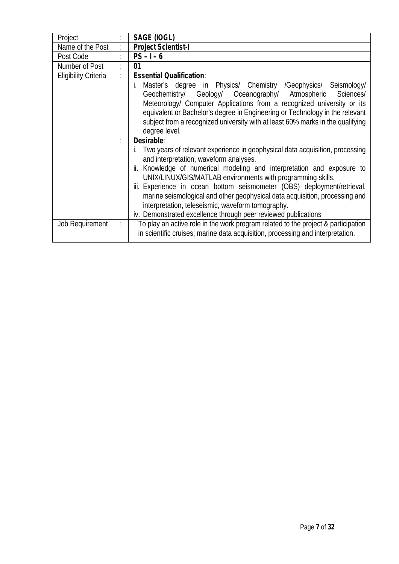| Project                     | SAGE (IOGL)                                                                                                                                                                                                                                                                                                                                                                                                                                                                                                                                                       |
|-----------------------------|-------------------------------------------------------------------------------------------------------------------------------------------------------------------------------------------------------------------------------------------------------------------------------------------------------------------------------------------------------------------------------------------------------------------------------------------------------------------------------------------------------------------------------------------------------------------|
| Name of the Post            | Project Scientist-I                                                                                                                                                                                                                                                                                                                                                                                                                                                                                                                                               |
| Post Code                   | $PS - 1 - 6$                                                                                                                                                                                                                                                                                                                                                                                                                                                                                                                                                      |
| Number of Post              | 01                                                                                                                                                                                                                                                                                                                                                                                                                                                                                                                                                                |
| <b>Eligibility Criteria</b> | <b>Essential Qualification:</b>                                                                                                                                                                                                                                                                                                                                                                                                                                                                                                                                   |
|                             | Master's degree in Physics/ Chemistry /Geophysics/ Seismology/<br>İ.<br>Geochemistry/ Geology/ Oceanography/ Atmospheric<br>Sciences/<br>Meteorology/ Computer Applications from a recognized university or its<br>equivalent or Bachelor's degree in Engineering or Technology in the relevant<br>subject from a recognized university with at least 60% marks in the qualifying<br>degree level.                                                                                                                                                                |
|                             | Desirable:<br>Two years of relevant experience in geophysical data acquisition, processing<br>and interpretation, waveform analyses.<br>Knowledge of numerical modeling and interpretation and exposure to<br>ii.<br>UNIX/LINUX/GIS/MATLAB environments with programming skills.<br>iii. Experience in ocean bottom seismometer (OBS) deployment/retrieval,<br>marine seismological and other geophysical data acquisition, processing and<br>interpretation, teleseismic, waveform tomography.<br>iv. Demonstrated excellence through peer reviewed publications |
| Job Requirement             | To play an active role in the work program related to the project & participation<br>in scientific cruises; marine data acquisition, processing and interpretation.                                                                                                                                                                                                                                                                                                                                                                                               |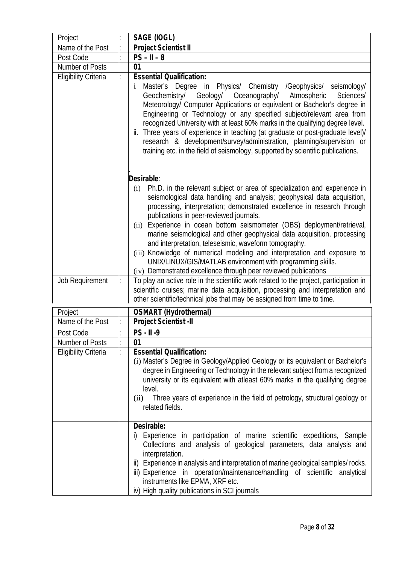| Project                                        | SAGE (IOGL)                                                                                                                                                                                                                                                                                                                                                                                                                                                                                                                                                                                                                                                                                                                    |
|------------------------------------------------|--------------------------------------------------------------------------------------------------------------------------------------------------------------------------------------------------------------------------------------------------------------------------------------------------------------------------------------------------------------------------------------------------------------------------------------------------------------------------------------------------------------------------------------------------------------------------------------------------------------------------------------------------------------------------------------------------------------------------------|
| Name of the Post                               | Project Scientist II                                                                                                                                                                                                                                                                                                                                                                                                                                                                                                                                                                                                                                                                                                           |
| Post Code                                      | $PS - II - 8$                                                                                                                                                                                                                                                                                                                                                                                                                                                                                                                                                                                                                                                                                                                  |
| Number of Posts                                | 01                                                                                                                                                                                                                                                                                                                                                                                                                                                                                                                                                                                                                                                                                                                             |
| <b>Eligibility Criteria</b>                    | <b>Essential Qualification:</b><br>Master's Degree in Physics/ Chemistry /Geophysics/ seismology/<br>İ.<br>Geochemistry/ Geology/<br>Oceanography/<br>Atmospheric<br>Sciences/<br>Meteorology/ Computer Applications or equivalent or Bachelor's degree in<br>Engineering or Technology or any specified subject/relevant area from<br>recognized University with at least 60% marks in the qualifying degree level.<br>Three years of experience in teaching (at graduate or post-graduate level)/<br>ii.<br>research & development/survey/administration, planning/supervision or<br>training etc. in the field of seismology, supported by scientific publications.                                                         |
|                                                | Desirable:<br>Ph.D. in the relevant subject or area of specialization and experience in<br>(i)<br>seismological data handling and analysis; geophysical data acquisition,<br>processing, interpretation; demonstrated excellence in research through<br>publications in peer-reviewed journals.<br>Experience in ocean bottom seismometer (OBS) deployment/retrieval,<br>(ii)<br>marine seismological and other geophysical data acquisition, processing<br>and interpretation, teleseismic, waveform tomography.<br>(iii) Knowledge of numerical modeling and interpretation and exposure to<br>UNIX/LINUX/GIS/MATLAB environment with programming skills.<br>(iv) Demonstrated excellence through peer reviewed publications |
| Job Requirement                                | To play an active role in the scientific work related to the project, participation in<br>scientific cruises; marine data acquisition, processing and interpretation and<br>other scientific/technical jobs that may be assigned from time to time.                                                                                                                                                                                                                                                                                                                                                                                                                                                                            |
| Project                                        | OSMART (Hydrothermal)                                                                                                                                                                                                                                                                                                                                                                                                                                                                                                                                                                                                                                                                                                          |
| Name of the Post                               | Project Scientist - II                                                                                                                                                                                                                                                                                                                                                                                                                                                                                                                                                                                                                                                                                                         |
| Post Code                                      | $PS - II - 9$                                                                                                                                                                                                                                                                                                                                                                                                                                                                                                                                                                                                                                                                                                                  |
| Number of Posts<br><b>Eligibility Criteria</b> | 01<br><b>Essential Qualification:</b><br>(i) Master's Degree in Geology/Applied Geology or its equivalent or Bachelor's<br>degree in Engineering or Technology in the relevant subject from a recognized<br>university or its equivalent with atleast 60% marks in the qualifying degree<br>level.<br>Three years of experience in the field of petrology, structural geology or<br>(ii)<br>related fields.                                                                                                                                                                                                                                                                                                                    |
|                                                | Desirable:<br>Experience in participation of marine scientific expeditions, Sample<br>i)<br>Collections and analysis of geological parameters, data analysis and<br>interpretation.<br>ii) Experience in analysis and interpretation of marine geological samples/rocks.<br>iii) Experience in operation/maintenance/handling of scientific analytical<br>instruments like EPMA, XRF etc.<br>iv) High quality publications in SCI journals                                                                                                                                                                                                                                                                                     |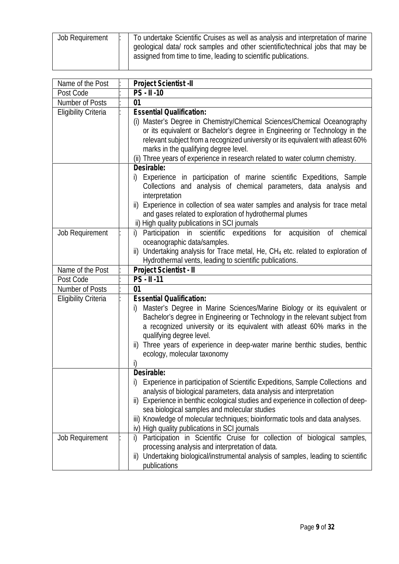| <b>Job Requirement</b> |
|------------------------|
|------------------------|

| Name of the Post            | Project Scientist - II                                                                                                                                                                                                                                                                                                                                                                                                                               |
|-----------------------------|------------------------------------------------------------------------------------------------------------------------------------------------------------------------------------------------------------------------------------------------------------------------------------------------------------------------------------------------------------------------------------------------------------------------------------------------------|
| Post Code                   | PS - II -10                                                                                                                                                                                                                                                                                                                                                                                                                                          |
| Number of Posts             | 01                                                                                                                                                                                                                                                                                                                                                                                                                                                   |
| <b>Eligibility Criteria</b> | <b>Essential Qualification:</b><br>Master's Degree in Chemistry/Chemical Sciences/Chemical Oceanography<br>or its equivalent or Bachelor's degree in Engineering or Technology in the<br>relevant subject from a recognized university or its equivalent with atleast 60%<br>marks in the qualifying degree level.<br>(ii) Three years of experience in research related to water column chemistry.                                                  |
|                             | Desirable:<br>Experience in participation of marine scientific Expeditions, Sample<br>İ)<br>Collections and analysis of chemical parameters, data analysis and<br>interpretation<br>ii) Experience in collection of sea water samples and analysis for trace metal<br>and gases related to exploration of hydrothermal plumes<br>ii) High quality publications in SCI journals                                                                       |
| Job Requirement             | Participation in scientific expeditions for acquisition of<br>chemical<br>i)<br>oceanographic data/samples.<br>Undertaking analysis for Trace metal, He, CH <sub>4</sub> etc. related to exploration of<br>ii)<br>Hydrothermal vents, leading to scientific publications.                                                                                                                                                                            |
| Name of the Post            | Project Scientist - II                                                                                                                                                                                                                                                                                                                                                                                                                               |
| Post Code                   | PS - II -11                                                                                                                                                                                                                                                                                                                                                                                                                                          |
| Number of Posts             | 01                                                                                                                                                                                                                                                                                                                                                                                                                                                   |
| <b>Eligibility Criteria</b> | <b>Essential Qualification:</b><br>Master's Degree in Marine Sciences/Marine Biology or its equivalent or<br>i)<br>Bachelor's degree in Engineering or Technology in the relevant subject from<br>a recognized university or its equivalent with atleast 60% marks in the<br>qualifying degree level.<br>ii) Three years of experience in deep-water marine benthic studies, benthic<br>ecology, molecular taxonomy                                  |
|                             | Desirable:<br>Experience in participation of Scientific Expeditions, Sample Collections and<br>I)<br>analysis of biological parameters, data analysis and interpretation<br>Experience in benthic ecological studies and experience in collection of deep-<br>ii)<br>sea biological samples and molecular studies<br>iii) Knowledge of molecular techniques; bioinformatic tools and data analyses.<br>iv) High quality publications in SCI journals |
| Job Requirement             | Participation in Scientific Cruise for collection of biological samples,<br>i)<br>processing analysis and interpretation of data.<br>Undertaking biological/instrumental analysis of samples, leading to scientific<br>ii)<br>publications                                                                                                                                                                                                           |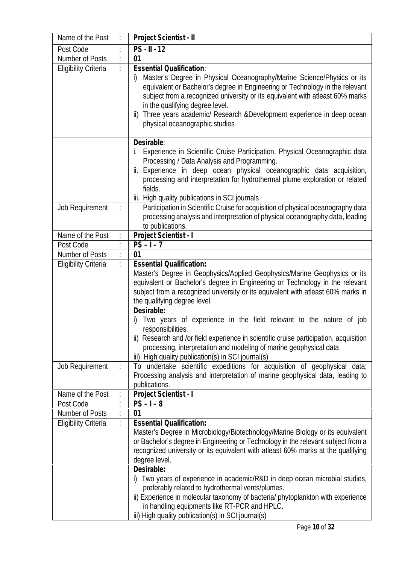| Name of the Post            | Project Scientist - II                                                                                                                                                                                                                                                                                                                                                                                                                                                                                                                                                                                                                               |
|-----------------------------|------------------------------------------------------------------------------------------------------------------------------------------------------------------------------------------------------------------------------------------------------------------------------------------------------------------------------------------------------------------------------------------------------------------------------------------------------------------------------------------------------------------------------------------------------------------------------------------------------------------------------------------------------|
| Post Code                   | $PS - II - 12$                                                                                                                                                                                                                                                                                                                                                                                                                                                                                                                                                                                                                                       |
| Number of Posts             | 01                                                                                                                                                                                                                                                                                                                                                                                                                                                                                                                                                                                                                                                   |
| <b>Eligibility Criteria</b> | <b>Essential Qualification:</b><br>Master's Degree in Physical Oceanography/Marine Science/Physics or its<br>i)<br>equivalent or Bachelor's degree in Engineering or Technology in the relevant<br>subject from a recognized university or its equivalent with atleast 60% marks<br>in the qualifying degree level.<br>Three years academic/ Research & Development experience in deep ocean<br>ii)<br>physical oceanographic studies                                                                                                                                                                                                                |
| Job Requirement             | Desirable:<br>Experience in Scientific Cruise Participation, Physical Oceanographic data<br>i.<br>Processing / Data Analysis and Programming.<br>Experience in deep ocean physical oceanographic data acquisition,<br>ii.<br>processing and interpretation for hydrothermal plume exploration or related<br>fields.<br>iii. High quality publications in SCI journals<br>Participation in Scientific Cruise for acquisition of physical oceanography data<br>processing analysis and interpretation of physical oceanography data, leading<br>to publications.                                                                                       |
| Name of the Post            | Project Scientist - I                                                                                                                                                                                                                                                                                                                                                                                                                                                                                                                                                                                                                                |
| Post Code                   | $PS - 1 - 7$                                                                                                                                                                                                                                                                                                                                                                                                                                                                                                                                                                                                                                         |
| Number of Posts             | 01                                                                                                                                                                                                                                                                                                                                                                                                                                                                                                                                                                                                                                                   |
| <b>Eligibility Criteria</b> | <b>Essential Qualification:</b><br>Master's Degree in Geophysics/Applied Geophysics/Marine Geophysics or its<br>equivalent or Bachelor's degree in Engineering or Technology in the relevant<br>subject from a recognized university or its equivalent with atleast 60% marks in<br>the qualifying degree level.                                                                                                                                                                                                                                                                                                                                     |
|                             | Desirable:<br>Two years of experience in the field relevant to the nature of job<br>responsibilities.<br>ii) Research and /or field experience in scientific cruise participation, acquisition<br>processing, interpretation and modeling of marine geophysical data<br>iii) High quality publication(s) in SCI journal(s)                                                                                                                                                                                                                                                                                                                           |
| <b>Job Requirement</b>      | To undertake scientific expeditions for acquisition of geophysical<br>data;<br>Processing analysis and interpretation of marine geophysical data, leading to<br>publications.                                                                                                                                                                                                                                                                                                                                                                                                                                                                        |
| Name of the Post            | Project Scientist - I                                                                                                                                                                                                                                                                                                                                                                                                                                                                                                                                                                                                                                |
| Post Code                   | $PS - 1 - 8$                                                                                                                                                                                                                                                                                                                                                                                                                                                                                                                                                                                                                                         |
| Number of Posts             | 01                                                                                                                                                                                                                                                                                                                                                                                                                                                                                                                                                                                                                                                   |
| <b>Eligibility Criteria</b> | <b>Essential Qualification:</b><br>Master's Degree in Microbiology/Biotechnology/Marine Biology or its equivalent<br>or Bachelor's degree in Engineering or Technology in the relevant subject from a<br>recognized university or its equivalent with atleast 60% marks at the qualifying<br>degree level.<br>Desirable:<br>i) Two years of experience in academic/R&D in deep ocean microbial studies,<br>preferably related to hydrothermal vents/plumes.<br>ii) Experience in molecular taxonomy of bacteria/ phytoplankton with experience<br>in handling equipments like RT-PCR and HPLC.<br>iii) High quality publication(s) in SCI journal(s) |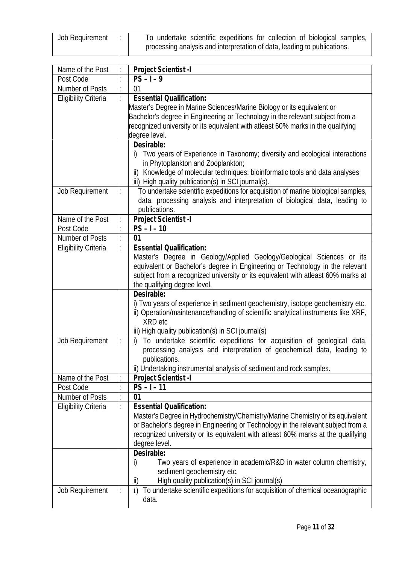| Job Requirement | To undertake scientific expeditions for collection of biological samples, |
|-----------------|---------------------------------------------------------------------------|
|                 | processing analysis and interpretation of data, leading to publications.  |

| Name of the Post            | Project Scientist -I                                                                          |
|-----------------------------|-----------------------------------------------------------------------------------------------|
| Post Code                   | $PS - 1 - 9$                                                                                  |
| Number of Posts             | 01                                                                                            |
| <b>Eligibility Criteria</b> | <b>Essential Qualification:</b>                                                               |
|                             | Master's Degree in Marine Sciences/Marine Biology or its equivalent or                        |
|                             | Bachelor's degree in Engineering or Technology in the relevant subject from a                 |
|                             | recognized university or its equivalent with atleast 60% marks in the qualifying              |
|                             | degree level.                                                                                 |
|                             | Desirable:                                                                                    |
|                             | Two years of Experience in Taxonomy; diversity and ecological interactions<br>j)              |
|                             | in Phytoplankton and Zooplankton;                                                             |
|                             | Knowledge of molecular techniques; bioinformatic tools and data analyses<br>$\mathsf{ii}$     |
|                             | iii) High quality publication(s) in SCI journal(s).                                           |
| Job Requirement             | To undertake scientific expeditions for acquisition of marine biological samples,             |
|                             | data, processing analysis and interpretation of biological data, leading to                   |
|                             | publications.                                                                                 |
| Name of the Post            | Project Scientist -I                                                                          |
| Post Code                   | $PS - I - 10$                                                                                 |
| Number of Posts             | 01                                                                                            |
| <b>Eligibility Criteria</b> | <b>Essential Qualification:</b>                                                               |
|                             | Master's Degree in Geology/Applied Geology/Geological Sciences or its                         |
|                             | equivalent or Bachelor's degree in Engineering or Technology in the relevant                  |
|                             | subject from a recognized university or its equivalent with atleast 60% marks at              |
|                             | the qualifying degree level.                                                                  |
|                             | Desirable:                                                                                    |
|                             | i) Two years of experience in sediment geochemistry, isotope geochemistry etc.                |
|                             | ii) Operation/maintenance/handling of scientific analytical instruments like XRF,             |
|                             | XRD etc                                                                                       |
|                             | iii) High quality publication(s) in SCI journal(s)                                            |
| Job Requirement             | To undertake scientific expeditions for acquisition of geological data,<br>j)                 |
|                             | processing analysis and interpretation of geochemical data, leading to                        |
|                             | publications.                                                                                 |
|                             | ii) Undertaking instrumental analysis of sediment and rock samples.                           |
| Name of the Post            | Project Scientist -I                                                                          |
| Post Code                   | $PS - 1 - 11$                                                                                 |
| Number of Posts             | 01                                                                                            |
| <b>Eligibility Criteria</b> | <b>Essential Qualification:</b>                                                               |
|                             | Master's Degree in Hydrochemistry/Chemistry/Marine Chemistry or its equivalent                |
|                             | or Bachelor's degree in Engineering or Technology in the relevant subject from a              |
|                             | recognized university or its equivalent with atleast 60% marks at the qualifying              |
|                             | degree level.                                                                                 |
|                             | Desirable:                                                                                    |
|                             | Two years of experience in academic/R&D in water column chemistry,<br>i)                      |
|                             | sediment geochemistry etc.                                                                    |
|                             | High quality publication(s) in SCI journal(s)<br>ii)                                          |
| Job Requirement             | To undertake scientific expeditions for acquisition of chemical oceanographic<br>$\mathbf{i}$ |
|                             | data.                                                                                         |
|                             |                                                                                               |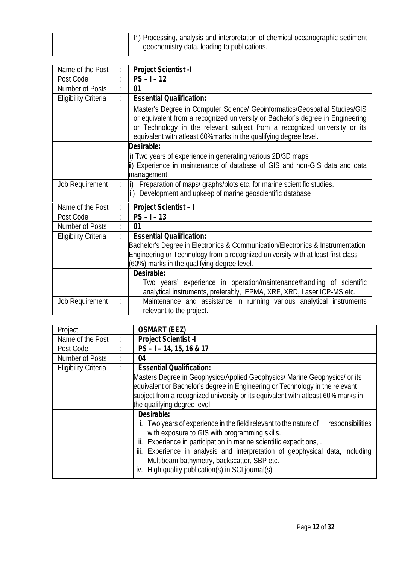| $\pm$ ii) Processing, analysis and interpretation of chemical oceanographic sediment<br>geochemistry data, leading to publications. |
|-------------------------------------------------------------------------------------------------------------------------------------|
|-------------------------------------------------------------------------------------------------------------------------------------|

| Name of the Post            | Project Scientist - I                                                                                                                                                                                                                                                                                         |
|-----------------------------|---------------------------------------------------------------------------------------------------------------------------------------------------------------------------------------------------------------------------------------------------------------------------------------------------------------|
| Post Code                   | $PS - 1 - 12$                                                                                                                                                                                                                                                                                                 |
| Number of Posts             | 01                                                                                                                                                                                                                                                                                                            |
| <b>Eligibility Criteria</b> | <b>Essential Qualification:</b>                                                                                                                                                                                                                                                                               |
|                             | Master's Degree in Computer Science/ Geoinformatics/Geospatial Studies/GIS<br>or equivalent from a recognized university or Bachelor's degree in Engineering<br>or Technology in the relevant subject from a recognized university or its<br>equivalent with atleast 60%marks in the qualifying degree level. |
|                             | Desirable:                                                                                                                                                                                                                                                                                                    |
|                             | i) Two years of experience in generating various 2D/3D maps<br>ii) Experience in maintenance of database of GIS and non-GIS data and data<br>management.                                                                                                                                                      |
| Job Requirement             | Preparation of maps/ graphs/plots etc, for marine scientific studies.<br>i)<br>Development and upkeep of marine geoscientific database<br>$\mathsf{ii}$                                                                                                                                                       |
| Name of the Post            | Project Scientist - I                                                                                                                                                                                                                                                                                         |
| Post Code                   | $PS - 1 - 13$                                                                                                                                                                                                                                                                                                 |
| Number of Posts             | 01                                                                                                                                                                                                                                                                                                            |
| <b>Eligibility Criteria</b> | <b>Essential Qualification:</b><br>Bachelor's Degree in Electronics & Communication/Electronics & Instrumentation<br>Engineering or Technology from a recognized university with at least first class<br>(60%) marks in the qualifying degree level.                                                          |
|                             | Desirable:<br>Two years' experience in operation/maintenance/handling of scientific<br>analytical instruments, preferably, EPMA, XRF, XRD, Laser ICP-MS etc.                                                                                                                                                  |
| Job Requirement             | Maintenance and assistance in running various analytical instruments<br>relevant to the project.                                                                                                                                                                                                              |

| <b>OSMART (EEZ)</b>                                                                                                                                                               |
|-----------------------------------------------------------------------------------------------------------------------------------------------------------------------------------|
| <b>Project Scientist -I</b>                                                                                                                                                       |
| $PS - I - 14$ , 15, 16 & 17                                                                                                                                                       |
| 04                                                                                                                                                                                |
| <b>Essential Qualification:</b>                                                                                                                                                   |
| Masters Degree in Geophysics/Applied Geophysics/ Marine Geophysics/ or its                                                                                                        |
| equivalent or Bachelor's degree in Engineering or Technology in the relevant                                                                                                      |
| subject from a recognized university or its equivalent with atleast 60% marks in                                                                                                  |
| the qualifying degree level.                                                                                                                                                      |
| Desirable:                                                                                                                                                                        |
| Two years of experience in the field relevant to the nature of<br>responsibilities<br>with exposure to GIS with programming skills.                                               |
| Experience in participation in marine scientific expeditions, .<br>II.                                                                                                            |
| iii. Experience in analysis and interpretation of geophysical data, including<br>Multibeam bathymetry, backscatter, SBP etc.<br>iv. High quality publication(s) in SCI journal(s) |
|                                                                                                                                                                                   |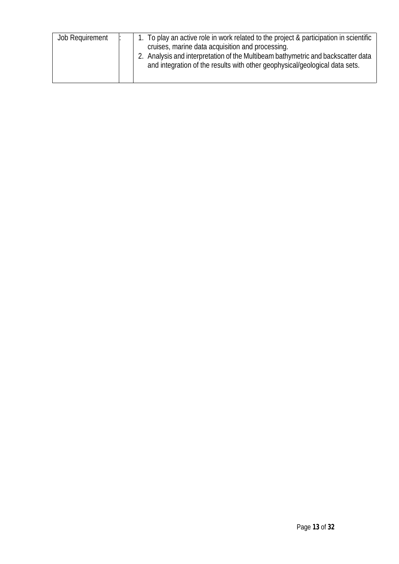| Job Requirement | 1. To play an active role in work related to the project & participation in scientific<br>cruises, marine data acquisition and processing.<br>Analysis and interpretation of the Multibeam bathymetric and backscatter data<br>and integration of the results with other geophysical/geological data sets. |
|-----------------|------------------------------------------------------------------------------------------------------------------------------------------------------------------------------------------------------------------------------------------------------------------------------------------------------------|
|-----------------|------------------------------------------------------------------------------------------------------------------------------------------------------------------------------------------------------------------------------------------------------------------------------------------------------------|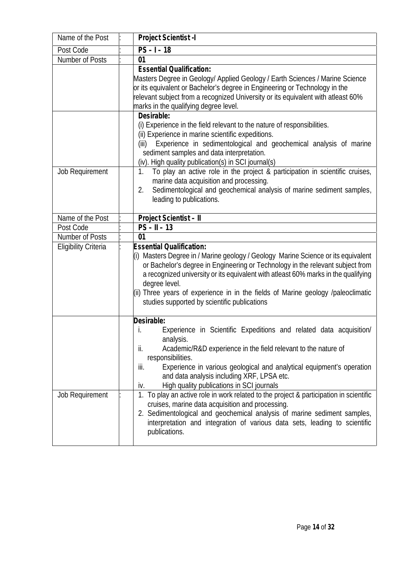| Name of the Post            | Project Scientist -I                                                                                                                                                 |
|-----------------------------|----------------------------------------------------------------------------------------------------------------------------------------------------------------------|
| Post Code                   | $\overline{PS}$ – I – 18                                                                                                                                             |
| Number of Posts             | 01                                                                                                                                                                   |
|                             | <b>Essential Qualification:</b>                                                                                                                                      |
|                             | Masters Degree in Geology/ Applied Geology / Earth Sciences / Marine Science                                                                                         |
|                             | or its equivalent or Bachelor's degree in Engineering or Technology in the                                                                                           |
|                             | relevant subject from a recognized University or its equivalent with atleast 60%                                                                                     |
|                             | marks in the qualifying degree level.                                                                                                                                |
|                             | Desirable:                                                                                                                                                           |
|                             | (i) Experience in the field relevant to the nature of responsibilities.<br>(ii) Experience in marine scientific expeditions.                                         |
|                             | Experience in sedimentological and geochemical analysis of marine<br>(iii)                                                                                           |
|                             | sediment samples and data interpretation.                                                                                                                            |
|                             | (iv). High quality publication(s) in SCI journal(s)                                                                                                                  |
| Job Requirement             | To play an active role in the project & participation in scientific cruises,<br>1.                                                                                   |
|                             | marine data acquisition and processing.                                                                                                                              |
|                             | Sedimentological and geochemical analysis of marine sediment samples,<br>2.                                                                                          |
|                             | leading to publications.                                                                                                                                             |
|                             |                                                                                                                                                                      |
| Name of the Post            | Project Scientist - II                                                                                                                                               |
| Post Code                   | $PS - II - 13$                                                                                                                                                       |
| Number of Posts             | 01                                                                                                                                                                   |
| <b>Eligibility Criteria</b> | <b>Essential Qualification:</b>                                                                                                                                      |
|                             | (i) Masters Degree in / Marine geology / Geology Marine Science or its equivalent                                                                                    |
|                             | or Bachelor's degree in Engineering or Technology in the relevant subject from<br>a recognized university or its equivalent with atleast 60% marks in the qualifying |
|                             | degree level.                                                                                                                                                        |
|                             | (ii) Three years of experience in in the fields of Marine geology /paleoclimatic                                                                                     |
|                             | studies supported by scientific publications                                                                                                                         |
|                             |                                                                                                                                                                      |
|                             | Desirable:                                                                                                                                                           |
|                             | Experience in Scientific Expeditions and related data acquisition/                                                                                                   |
|                             | analysis.                                                                                                                                                            |
|                             | ii.<br>Academic/R&D experience in the field relevant to the nature of                                                                                                |
|                             | responsibilities.                                                                                                                                                    |
|                             | iii.<br>Experience in various geological and analytical equipment's operation                                                                                        |
|                             | and data analysis including XRF, LPSA etc.                                                                                                                           |
| <b>Job Requirement</b>      | High quality publications in SCI journals<br>iv.<br>1. To play an active role in work related to the project & participation in scientific                           |
|                             | cruises, marine data acquisition and processing.                                                                                                                     |
|                             | 2. Sedimentological and geochemical analysis of marine sediment samples,                                                                                             |
|                             | interpretation and integration of various data sets, leading to scientific                                                                                           |
|                             | publications.                                                                                                                                                        |
|                             |                                                                                                                                                                      |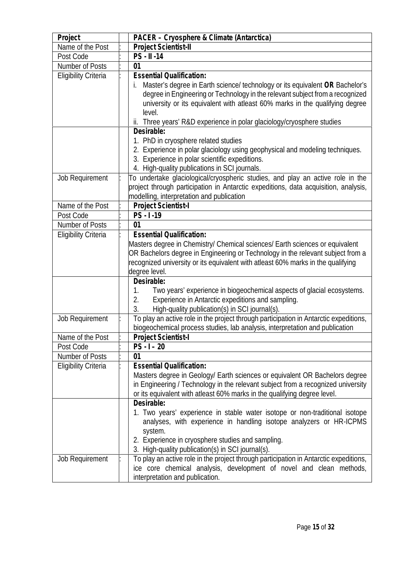| Project                     | PACER - Cryosphere & Climate (Antarctica)                                                                                                                                                                                                                                                                                                                                                                                                                                                |  |
|-----------------------------|------------------------------------------------------------------------------------------------------------------------------------------------------------------------------------------------------------------------------------------------------------------------------------------------------------------------------------------------------------------------------------------------------------------------------------------------------------------------------------------|--|
| Name of the Post            | Project Scientist-II                                                                                                                                                                                                                                                                                                                                                                                                                                                                     |  |
| Post Code                   | PS - II -14                                                                                                                                                                                                                                                                                                                                                                                                                                                                              |  |
| <b>Number of Posts</b>      | 01                                                                                                                                                                                                                                                                                                                                                                                                                                                                                       |  |
| <b>Eligibility Criteria</b> | <b>Essential Qualification:</b>                                                                                                                                                                                                                                                                                                                                                                                                                                                          |  |
|                             | Master's degree in Earth science/ technology or its equivalent OR Bachelor's<br>degree in Engineering or Technology in the relevant subject from a recognized<br>university or its equivalent with atleast 60% marks in the qualifying degree<br>level.<br>ii. Three years' R&D experience in polar glaciology/cryosphere studies                                                                                                                                                        |  |
|                             | Desirable:                                                                                                                                                                                                                                                                                                                                                                                                                                                                               |  |
|                             | 1. PhD in cryosphere related studies<br>2. Experience in polar glaciology using geophysical and modeling techniques.<br>3. Experience in polar scientific expeditions.<br>4. High-quality publications in SCI journals.                                                                                                                                                                                                                                                                  |  |
| Job Requirement             | To undertake glaciological/cryospheric studies, and play an active role in the<br>project through participation in Antarctic expeditions, data acquisition, analysis,<br>modelling, interpretation and publication                                                                                                                                                                                                                                                                       |  |
| Name of the Post            | Project Scientist-I                                                                                                                                                                                                                                                                                                                                                                                                                                                                      |  |
| Post Code                   | $PS - 1 - 19$                                                                                                                                                                                                                                                                                                                                                                                                                                                                            |  |
| <b>Number of Posts</b>      | 01                                                                                                                                                                                                                                                                                                                                                                                                                                                                                       |  |
| <b>Eligibility Criteria</b> | <b>Essential Qualification:</b><br>Masters degree in Chemistry/ Chemical sciences/ Earth sciences or equivalent<br>OR Bachelors degree in Engineering or Technology in the relevant subject from a<br>recognized university or its equivalent with atleast 60% marks in the qualifying<br>degree level.                                                                                                                                                                                  |  |
|                             | Desirable:<br>Two years' experience in biogeochemical aspects of glacial ecosystems.<br>1.<br>Experience in Antarctic expeditions and sampling.<br>2.<br>High-quality publication(s) in SCI journal(s).<br>3.                                                                                                                                                                                                                                                                            |  |
| <b>Job Requirement</b>      | To play an active role in the project through participation in Antarctic expeditions,<br>biogeochemical process studies, lab analysis, interpretation and publication                                                                                                                                                                                                                                                                                                                    |  |
| Name of the Post            | Project Scientist-I                                                                                                                                                                                                                                                                                                                                                                                                                                                                      |  |
| Post Code                   | $PS - I - 20$                                                                                                                                                                                                                                                                                                                                                                                                                                                                            |  |
| Number of Posts             | 01                                                                                                                                                                                                                                                                                                                                                                                                                                                                                       |  |
| <b>Eligibility Criteria</b> | <b>Essential Qualification:</b><br>Masters degree in Geology/ Earth sciences or equivalent OR Bachelors degree<br>in Engineering / Technology in the relevant subject from a recognized university<br>or its equivalent with atleast 60% marks in the qualifying degree level.                                                                                                                                                                                                           |  |
| Job Requirement             | Desirable:<br>1. Two years' experience in stable water isotope or non-traditional isotope<br>analyses, with experience in handling isotope analyzers or HR-ICPMS<br>system.<br>2. Experience in cryosphere studies and sampling.<br>3. High-quality publication(s) in SCI journal(s).<br>To play an active role in the project through participation in Antarctic expeditions,<br>ice core chemical analysis, development of novel and clean methods,<br>interpretation and publication. |  |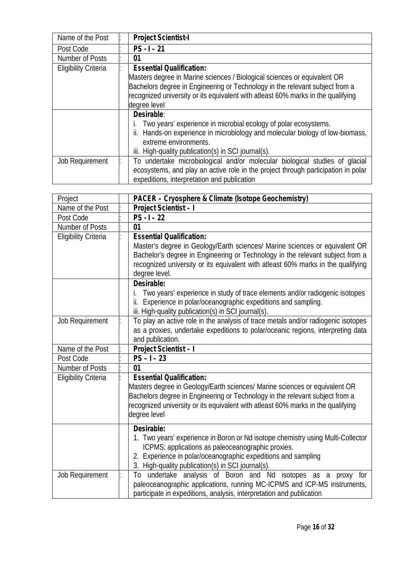| Name of the Post            | <b>Project Scientist-I</b>                                                        |
|-----------------------------|-----------------------------------------------------------------------------------|
| Post Code                   | $PS - 1 - 21$                                                                     |
| Number of Posts             | 01                                                                                |
| <b>Eligibility Criteria</b> | <b>Essential Qualification:</b>                                                   |
|                             | Masters degree in Marine sciences / Biological sciences or equivalent OR          |
|                             | Bachelors degree in Engineering or Technology in the relevant subject from a      |
|                             | recognized university or its equivalent with atleast 60% marks in the qualifying  |
|                             | degree level                                                                      |
|                             | Desirable:                                                                        |
|                             | Two years' experience in microbial ecology of polar ecosystems.                   |
|                             | ii. Hands-on experience in microbiology and molecular biology of low-biomass,     |
|                             | extreme environments.                                                             |
|                             | iii. High-quality publication(s) in SCI journal(s).                               |
| Job Requirement             | To undertake microbiological and/or molecular biological studies of glacial       |
|                             | ecosystems, and play an active role in the project through participation in polar |
|                             | expeditions, interpretation and publication                                       |

| Project                     | PACER - Cryosphere & Climate (Isotope Geochemistry)                                                                                                                                                                                                                                                  |
|-----------------------------|------------------------------------------------------------------------------------------------------------------------------------------------------------------------------------------------------------------------------------------------------------------------------------------------------|
| Name of the Post            | Project Scientist - I                                                                                                                                                                                                                                                                                |
| Post Code                   | $PS - 1 - 22$                                                                                                                                                                                                                                                                                        |
| Number of Posts             | 01                                                                                                                                                                                                                                                                                                   |
| <b>Eligibility Criteria</b> | <b>Essential Qualification:</b><br>Master's degree in Geology/Earth sciences/ Marine sciences or equivalent OR<br>Bachelor's degree in Engineering or Technology in the relevant subject from a<br>recognized university or its equivalent with atleast 60% marks in the qualifying<br>degree level. |
|                             | Desirable:<br>Two years' experience in study of trace elements and/or radiogenic isotopes<br>ii. Experience in polar/oceanographic expeditions and sampling.<br>iii. High-quality publication(s) in SCI journal(s).                                                                                  |
| Job Requirement             | To play an active role in the analysis of trace metals and/or radiogenic isotopes<br>as a proxies, undertake expeditions to polar/oceanic regions, interpreting data<br>and publication.                                                                                                             |
| Name of the Post            | Project Scientist - I                                                                                                                                                                                                                                                                                |
| Post Code                   | $PS - 1 - 23$                                                                                                                                                                                                                                                                                        |
| Number of Posts             | 01                                                                                                                                                                                                                                                                                                   |
| <b>Eligibility Criteria</b> | <b>Essential Qualification:</b><br>Masters degree in Geology/Earth sciences/ Marine sciences or equivalent OR<br>Bachelors degree in Engineering or Technology in the relevant subject from a<br>recognized university or its equivalent with atleast 60% marks in the qualifying<br>degree level    |
|                             | Desirable:<br>1. Two years' experience in Boron or Nd isotope chemistry using Multi-Collector<br>ICPMS; applications as paleoceanographic proxies.<br>2. Experience in polar/oceanographic expeditions and sampling<br>3. High-quality publication(s) in SCI journal(s).                             |
| Job Requirement             | To undertake analysis of Boron and Nd isotopes as a<br>proxy for<br>paleoceanographic applications, running MC-ICPMS and ICP-MS instruments,<br>participate in expeditions, analysis, interpretation and publication                                                                                 |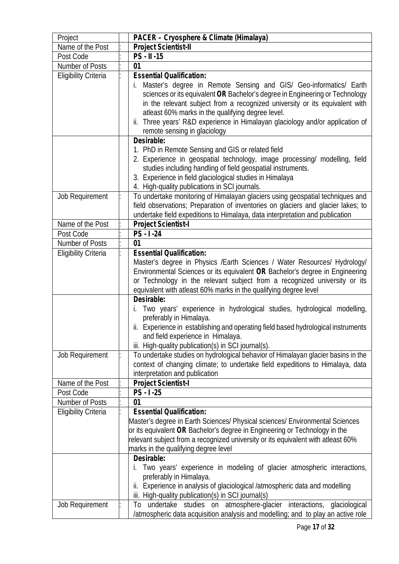| Project                                        | PACER - Cryosphere & Climate (Himalaya)                                                                                                                                                                                                                                                                                                                                                                                                                                                                                                                                                                                                                         |
|------------------------------------------------|-----------------------------------------------------------------------------------------------------------------------------------------------------------------------------------------------------------------------------------------------------------------------------------------------------------------------------------------------------------------------------------------------------------------------------------------------------------------------------------------------------------------------------------------------------------------------------------------------------------------------------------------------------------------|
| Name of the Post                               | Project Scientist-II                                                                                                                                                                                                                                                                                                                                                                                                                                                                                                                                                                                                                                            |
| Post Code                                      | PS - II -15                                                                                                                                                                                                                                                                                                                                                                                                                                                                                                                                                                                                                                                     |
| Number of Posts                                | 01                                                                                                                                                                                                                                                                                                                                                                                                                                                                                                                                                                                                                                                              |
| <b>Eligibility Criteria</b>                    | <b>Essential Qualification:</b><br>Master's degree in Remote Sensing and GIS/ Geo-informatics/ Earth<br>I.<br>sciences or its equivalent OR Bachelor's degree in Engineering or Technology<br>in the relevant subject from a recognized university or its equivalent with<br>atleast 60% marks in the qualifying degree level.<br>ii. Three years' R&D experience in Himalayan glaciology and/or application of<br>remote sensing in glaciology<br>Desirable:<br>1. PhD in Remote Sensing and GIS or related field<br>2. Experience in geospatial technology, image processing/ modelling, field<br>studies including handling of field geospatial instruments. |
| Job Requirement                                | 3. Experience in field glaciological studies in Himalaya<br>4. High-quality publications in SCI journals.<br>To undertake monitoring of Himalayan glaciers using geospatial techniques and                                                                                                                                                                                                                                                                                                                                                                                                                                                                      |
|                                                | field observations; Preparation of inventories on glaciers and glacier lakes; to<br>undertake field expeditions to Himalaya, data interpretation and publication                                                                                                                                                                                                                                                                                                                                                                                                                                                                                                |
| Name of the Post                               | Project Scientist-I                                                                                                                                                                                                                                                                                                                                                                                                                                                                                                                                                                                                                                             |
| Post Code                                      | $PS - 1 - 24$                                                                                                                                                                                                                                                                                                                                                                                                                                                                                                                                                                                                                                                   |
| Number of Posts<br><b>Eligibility Criteria</b> | 01<br><b>Essential Qualification:</b>                                                                                                                                                                                                                                                                                                                                                                                                                                                                                                                                                                                                                           |
|                                                | Master's degree in Physics / Earth Sciences / Water Resources/ Hydrology/<br>Environmental Sciences or its equivalent OR Bachelor's degree in Engineering<br>or Technology in the relevant subject from a recognized university or its<br>equivalent with atleast 60% marks in the qualifying degree level<br>Desirable:<br>Two years' experience in hydrological studies, hydrological modelling,<br>preferably in Himalaya.<br>ii. Experience in establishing and operating field based hydrological instruments<br>and field experience in Himalaya.<br>iii. High-quality publication(s) in SCI journal(s).                                                  |
| Job Requirement                                | To undertake studies on hydrological behavior of Himalayan glacier basins in the<br>context of changing climate; to undertake field expeditions to Himalaya, data<br>interpretation and publication                                                                                                                                                                                                                                                                                                                                                                                                                                                             |
| Name of the Post                               | Project Scientist-I                                                                                                                                                                                                                                                                                                                                                                                                                                                                                                                                                                                                                                             |
| Post Code                                      | $PS - 1 - 25$                                                                                                                                                                                                                                                                                                                                                                                                                                                                                                                                                                                                                                                   |
| <b>Number of Posts</b>                         | 01                                                                                                                                                                                                                                                                                                                                                                                                                                                                                                                                                                                                                                                              |
| <b>Eligibility Criteria</b>                    | <b>Essential Qualification:</b><br>Master's degree in Earth Sciences/ Physical sciences/ Environmental Sciences<br>or its equivalent OR Bachelor's degree in Engineering or Technology in the<br>relevant subject from a recognized university or its equivalent with atleast 60%<br>marks in the qualifying degree level                                                                                                                                                                                                                                                                                                                                       |
| Job Requirement                                | Desirable:<br>Two years' experience in modeling of glacier atmospheric interactions,<br>İ.<br>preferably in Himalaya.<br>ii. Experience in analysis of glaciological /atmospheric data and modelling<br>iii. High-quality publication(s) in SCI journal(s)<br>To undertake studies on atmosphere-glacier interactions, glaciological<br>/atmospheric data acquisition analysis and modelling; and to play an active role                                                                                                                                                                                                                                        |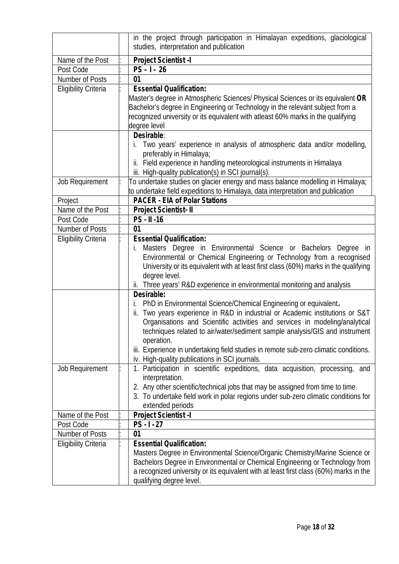|                             | in the project through participation in Himalayan expeditions, glaciological<br>studies, interpretation and publication                                                                                                                                                                                                                                                                                                                                                                                                                                                |
|-----------------------------|------------------------------------------------------------------------------------------------------------------------------------------------------------------------------------------------------------------------------------------------------------------------------------------------------------------------------------------------------------------------------------------------------------------------------------------------------------------------------------------------------------------------------------------------------------------------|
| Name of the Post            | Project Scientist -I                                                                                                                                                                                                                                                                                                                                                                                                                                                                                                                                                   |
| Post Code                   | $PS - 1 - 26$                                                                                                                                                                                                                                                                                                                                                                                                                                                                                                                                                          |
| Number of Posts             | 01                                                                                                                                                                                                                                                                                                                                                                                                                                                                                                                                                                     |
| <b>Eligibility Criteria</b> | <b>Essential Qualification:</b><br>Master's degree in Atmospheric Sciences/ Physical Sciences or its equivalent OR<br>Bachelor's degree in Engineering or Technology in the relevant subject from a<br>recognized university or its equivalent with atleast 60% marks in the qualifying<br>degree level<br>Desirable:                                                                                                                                                                                                                                                  |
|                             | Two years' experience in analysis of atmospheric data and/or modelling,<br>preferably in Himalaya;<br>ii. Field experience in handling meteorological instruments in Himalaya<br>iii. High-quality publication(s) in SCI journal(s).                                                                                                                                                                                                                                                                                                                                   |
| <b>Job Requirement</b>      | To undertake studies on glacier energy and mass balance modelling in Himalaya;<br>to undertake field expeditions to Himalaya, data interpretation and publication                                                                                                                                                                                                                                                                                                                                                                                                      |
| Project                     | <b>PACER - EIA of Polar Stations</b>                                                                                                                                                                                                                                                                                                                                                                                                                                                                                                                                   |
| Name of the Post            | Project Scientist- II                                                                                                                                                                                                                                                                                                                                                                                                                                                                                                                                                  |
| Post Code                   | PS - II -16                                                                                                                                                                                                                                                                                                                                                                                                                                                                                                                                                            |
| Number of Posts             | 01                                                                                                                                                                                                                                                                                                                                                                                                                                                                                                                                                                     |
| <b>Eligibility Criteria</b> | <b>Essential Qualification:</b><br>Masters Degree in Environmental Science or Bachelors Degree in<br>I.<br>Environmental or Chemical Engineering or Technology from a recognised<br>University or its equivalent with at least first class (60%) marks in the qualifying<br>degree level.<br>ii. Three years' R&D experience in environmental monitoring and analysis                                                                                                                                                                                                  |
| Job Requirement             | Desirable:<br>PhD in Environmental Science/Chemical Engineering or equivalent.<br>ii. Two years experience in R&D in industrial or Academic institutions or S&T<br>Organisations and Scientific activities and services in modeling/analytical<br>techniques related to air/water/sediment sample analysis/GIS and instrument<br>operation.<br>iii. Experience in undertaking field studies in remote sub-zero climatic conditions.<br>iv. High-quality publications in SCI journals.<br>1. Participation in scientific expeditions, data acquisition, processing, and |
|                             | interpretation.<br>2. Any other scientific/technical jobs that may be assigned from time to time.<br>3. To undertake field work in polar regions under sub-zero climatic conditions for<br>extended periods                                                                                                                                                                                                                                                                                                                                                            |
| Name of the Post            | Project Scientist -I                                                                                                                                                                                                                                                                                                                                                                                                                                                                                                                                                   |
| Post Code                   | $PS - 1 - 27$                                                                                                                                                                                                                                                                                                                                                                                                                                                                                                                                                          |
| Number of Posts             | 01                                                                                                                                                                                                                                                                                                                                                                                                                                                                                                                                                                     |
| <b>Eligibility Criteria</b> | <b>Essential Qualification:</b><br>Masters Degree in Environmental Science/Organic Chemistry/Marine Science or<br>Bachelors Degree in Environmental or Chemical Engineering or Technology from<br>a recognized university or its equivalent with at least first class (60%) marks in the<br>qualifying degree level.                                                                                                                                                                                                                                                   |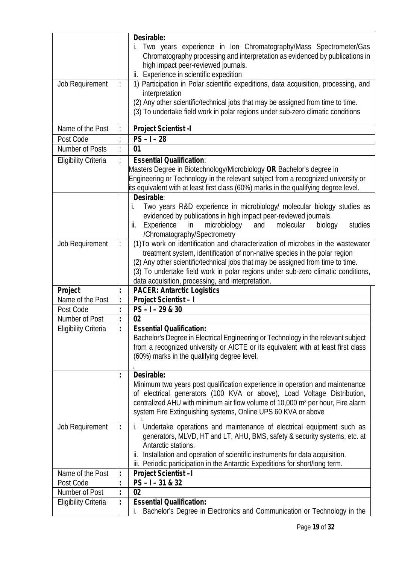|                             | Desirable:                                                                                                                                                                                    |
|-----------------------------|-----------------------------------------------------------------------------------------------------------------------------------------------------------------------------------------------|
|                             | Two years experience in Ion Chromatography/Mass Spectrometer/Gas<br>İ.<br>Chromatography processing and interpretation as evidenced by publications in<br>high impact peer-reviewed journals. |
|                             | ii. Experience in scientific expedition                                                                                                                                                       |
| Job Requirement             | 1) Participation in Polar scientific expeditions, data acquisition, processing, and                                                                                                           |
|                             | interpretation                                                                                                                                                                                |
|                             | (2) Any other scientific/technical jobs that may be assigned from time to time.                                                                                                               |
|                             | (3) To undertake field work in polar regions under sub-zero climatic conditions                                                                                                               |
|                             |                                                                                                                                                                                               |
| Name of the Post            | Project Scientist -I                                                                                                                                                                          |
| Post Code                   | $PS - I - 28$                                                                                                                                                                                 |
| Number of Posts             | 01                                                                                                                                                                                            |
| <b>Eligibility Criteria</b> | <b>Essential Qualification:</b>                                                                                                                                                               |
|                             | Masters Degree in Biotechnology/Microbiology OR Bachelor's degree in                                                                                                                          |
|                             | Engineering or Technology in the relevant subject from a recognized university or                                                                                                             |
|                             | its equivalent with at least first class (60%) marks in the qualifying degree level.                                                                                                          |
|                             | Desirable:                                                                                                                                                                                    |
|                             | Two years R&D experience in microbiology/ molecular biology studies as<br>İ.                                                                                                                  |
|                             | evidenced by publications in high impact peer-reviewed journals.<br>in<br>molecular                                                                                                           |
|                             | microbiology<br>Experience<br>ij.<br>and<br>biology<br>studies                                                                                                                                |
|                             | /Chromatography/Spectrometry<br>(1) To work on identification and characterization of microbes in the wastewater                                                                              |
| Job Requirement             | treatment system, identification of non-native species in the polar region                                                                                                                    |
|                             | (2) Any other scientific/technical jobs that may be assigned from time to time.                                                                                                               |
|                             | (3) To undertake field work in polar regions under sub-zero climatic conditions,                                                                                                              |
|                             | data acquisition, processing, and interpretation.                                                                                                                                             |
| Project                     | <b>PACER: Antarctic Logistics</b>                                                                                                                                                             |
| Name of the Post            | Project Scientist-I                                                                                                                                                                           |
| Post Code                   | $PS - 1 - 29 & 30$                                                                                                                                                                            |
| Number of Post              | 02                                                                                                                                                                                            |
| <b>Eligibility Criteria</b> | <b>Essential Qualification:</b>                                                                                                                                                               |
|                             | Bachelor's Degree in Electrical Engineering or Technology in the relevant subject                                                                                                             |
|                             | from a recognized university or AICTE or its equivalent with at least first class                                                                                                             |
|                             | (60%) marks in the qualifying degree level.                                                                                                                                                   |
|                             |                                                                                                                                                                                               |
|                             | Desirable:                                                                                                                                                                                    |
|                             | Minimum two years post qualification experience in operation and maintenance                                                                                                                  |
|                             | of electrical generators (100 KVA or above), Load Voltage Distribution,                                                                                                                       |
|                             | centralized AHU with minimum air flow volume of 10,000 m <sup>3</sup> per hour, Fire alarm                                                                                                    |
|                             | system Fire Extinguishing systems, Online UPS 60 KVA or above                                                                                                                                 |
| Job Requirement             | Undertake operations and maintenance of electrical equipment such as<br>İ.                                                                                                                    |
|                             | generators, MLVD, HT and LT, AHU, BMS, safety & security systems, etc. at                                                                                                                     |
|                             | Antarctic stations.                                                                                                                                                                           |
|                             | ii. Installation and operation of scientific instruments for data acquisition.                                                                                                                |
|                             | iii. Periodic participation in the Antarctic Expeditions for short/long term.                                                                                                                 |
| Name of the Post            | Project Scientist-I                                                                                                                                                                           |
| Post Code                   | $PS - I - 31 & 32$                                                                                                                                                                            |
| Number of Post              | 02                                                                                                                                                                                            |
| <b>Eligibility Criteria</b> | <b>Essential Qualification:</b>                                                                                                                                                               |
|                             | Bachelor's Degree in Electronics and Communication or Technology in the<br>İ.                                                                                                                 |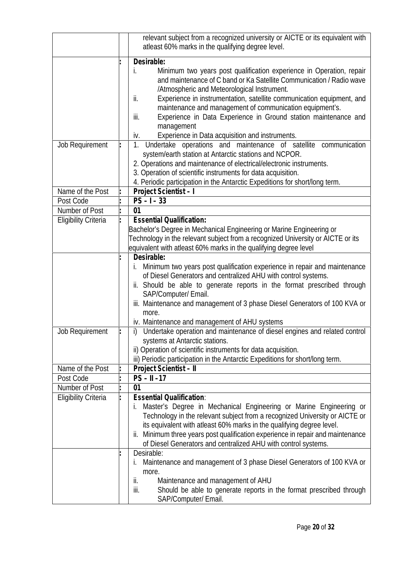|                             | relevant subject from a recognized university or AICTE or its equivalent with<br>atleast 60% marks in the qualifying degree level.                                                                                                                                                                                                                                                                                                                                                                                                                                                                                                                                                                                                                                                      |
|-----------------------------|-----------------------------------------------------------------------------------------------------------------------------------------------------------------------------------------------------------------------------------------------------------------------------------------------------------------------------------------------------------------------------------------------------------------------------------------------------------------------------------------------------------------------------------------------------------------------------------------------------------------------------------------------------------------------------------------------------------------------------------------------------------------------------------------|
| Job Requirement             | Desirable:<br>Minimum two years post qualification experience in Operation, repair<br>İ.<br>and maintenance of C band or Ka Satellite Communication / Radio wave<br>/Atmospheric and Meteorological Instrument.<br>Experience in instrumentation, satellite communication equipment, and<br>ii.<br>maintenance and management of communication equipment's.<br>Experience in Data Experience in Ground station maintenance and<br>iii.<br>management<br>Experience in Data acquisition and instruments.<br>iv.<br>Undertake operations and maintenance of satellite communication<br>1.<br>system/earth station at Antarctic stations and NCPOR.<br>2. Operations and maintenance of electrical/electronic instruments.<br>3. Operation of scientific instruments for data acquisition. |
|                             | 4. Periodic participation in the Antarctic Expeditions for short/long term.                                                                                                                                                                                                                                                                                                                                                                                                                                                                                                                                                                                                                                                                                                             |
| Name of the Post            | Project Scientist - I                                                                                                                                                                                                                                                                                                                                                                                                                                                                                                                                                                                                                                                                                                                                                                   |
| Post Code                   | $PS - I - 33$                                                                                                                                                                                                                                                                                                                                                                                                                                                                                                                                                                                                                                                                                                                                                                           |
| Number of Post              | 01                                                                                                                                                                                                                                                                                                                                                                                                                                                                                                                                                                                                                                                                                                                                                                                      |
| <b>Eligibility Criteria</b> | <b>Essential Qualification:</b>                                                                                                                                                                                                                                                                                                                                                                                                                                                                                                                                                                                                                                                                                                                                                         |
|                             | Bachelor's Degree in Mechanical Engineering or Marine Engineering or<br>Technology in the relevant subject from a recognized University or AICTE or its<br>equivalent with atleast 60% marks in the qualifying degree level                                                                                                                                                                                                                                                                                                                                                                                                                                                                                                                                                             |
|                             | Desirable:<br>Minimum two years post qualification experience in repair and maintenance<br>İ.<br>of Diesel Generators and centralized AHU with control systems.<br>ii. Should be able to generate reports in the format prescribed through<br>SAP/Computer/ Email.<br>iii. Maintenance and management of 3 phase Diesel Generators of 100 KVA or<br>more.<br>iv. Maintenance and management of AHU systems                                                                                                                                                                                                                                                                                                                                                                              |
| Job Requirement             | i) Undertake operation and maintenance of diesel engines and related control<br>systems at Antarctic stations.<br>ii) Operation of scientific instruments for data acquisition.<br>iii) Periodic participation in the Antarctic Expeditions for short/long term.                                                                                                                                                                                                                                                                                                                                                                                                                                                                                                                        |
| Name of the Post            | Project Scientist - II                                                                                                                                                                                                                                                                                                                                                                                                                                                                                                                                                                                                                                                                                                                                                                  |
| Post Code                   | $PS - II - 17$                                                                                                                                                                                                                                                                                                                                                                                                                                                                                                                                                                                                                                                                                                                                                                          |
| Number of Post              | 01                                                                                                                                                                                                                                                                                                                                                                                                                                                                                                                                                                                                                                                                                                                                                                                      |
| <b>Eligibility Criteria</b> | <b>Essential Qualification:</b><br>Master's Degree in Mechanical Engineering or Marine Engineering or<br>İ.<br>Technology in the relevant subject from a recognized University or AICTE or<br>its equivalent with atleast 60% marks in the qualifying degree level.<br>Minimum three years post qualification experience in repair and maintenance<br>ii.<br>of Diesel Generators and centralized AHU with control systems.                                                                                                                                                                                                                                                                                                                                                             |
|                             | Desirable:<br>Maintenance and management of 3 phase Diesel Generators of 100 KVA or<br>İ.<br>more.<br>Maintenance and management of AHU<br>ii.<br>iii.<br>Should be able to generate reports in the format prescribed through<br>SAP/Computer/ Email.                                                                                                                                                                                                                                                                                                                                                                                                                                                                                                                                   |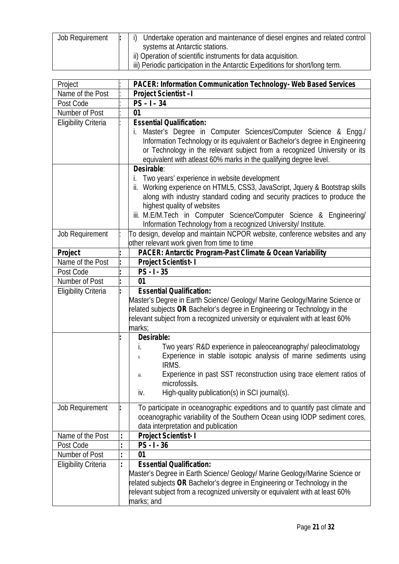| <b>Job Requirement</b> | Undertake operation and maintenance of diesel engines and related control<br>$\vert$ |
|------------------------|--------------------------------------------------------------------------------------|
|                        | systems at Antarctic stations.                                                       |
|                        | ii) Operation of scientific instruments for data acquisition.                        |
|                        | iii) Periodic participation in the Antarctic Expeditions for short/long term.        |

| Project                     | PACER: Information Communication Technology- Web Based Services                                          |
|-----------------------------|----------------------------------------------------------------------------------------------------------|
| Name of the Post            | Project Scientist-I                                                                                      |
| Post Code                   | $\overline{PS} - I - 34$                                                                                 |
| Number of Post              | 01                                                                                                       |
| <b>Eligibility Criteria</b> | <b>Essential Qualification:</b>                                                                          |
|                             | Master's Degree in Computer Sciences/Computer Science & Engg./                                           |
|                             | Information Technology or its equivalent or Bachelor's degree in Engineering                             |
|                             | or Technology in the relevant subject from a recognized University or its                                |
|                             | equivalent with atleast 60% marks in the qualifying degree level.                                        |
|                             | Desirable:                                                                                               |
|                             | Two years' experience in website development<br>İ.                                                       |
|                             | ii. Working experience on HTML5, CSS3, JavaScript, Jquery & Bootstrap skills                             |
|                             | along with industry standard coding and security practices to produce the                                |
|                             | highest quality of websites                                                                              |
|                             | iii. M.E/M.Tech in Computer Science/Computer Science & Engineering/                                      |
|                             | Information Technology from a recognized University/ Institute.                                          |
| Job Requirement             | To design, develop and maintain NCPOR website, conference websites and any                               |
| Project                     | other relevant work given from time to time<br>PACER: Antarctic Program-Past Climate & Ocean Variability |
| Name of the Post            | Project Scientist-1                                                                                      |
| Post Code                   | $PS - 1 - 35$                                                                                            |
| Number of Post              | 01                                                                                                       |
| <b>Eligibility Criteria</b> | <b>Essential Qualification:</b>                                                                          |
|                             | Master's Degree in Earth Science/ Geology/ Marine Geology/Marine Science or                              |
|                             | related subjects OR Bachelor's degree in Engineering or Technology in the                                |
|                             | relevant subject from a recognized university or equivalent with at least 60%                            |
|                             | marks;                                                                                                   |
|                             | Desirable:                                                                                               |
|                             | Two years' R&D experience in paleoceanography/ paleoclimatology<br>İ.                                    |
|                             | Experience in stable isotopic analysis of marine sediments using<br>ii.                                  |
|                             | IRMS.                                                                                                    |
|                             | Experience in past SST reconstruction using trace element ratios of<br>iii.                              |
|                             | microfossils.                                                                                            |
|                             | High-quality publication(s) in SCI journal(s).<br>iv.                                                    |
|                             |                                                                                                          |
| <b>Job Requirement</b>      | To participate in oceanographic expeditions and to quantify past climate and                             |
|                             | oceanographic variability of the Southern Ocean using IODP sediment cores,                               |
|                             | data interpretation and publication                                                                      |
| Name of the Post            | Project Scientist-1                                                                                      |
| Post Code                   | $PS - 1 - 36$                                                                                            |
| Number of Post              | 01                                                                                                       |
| <b>Eligibility Criteria</b> | <b>Essential Qualification:</b>                                                                          |
|                             | Master's Degree in Earth Science/ Geology/ Marine Geology/Marine Science or                              |
|                             | related subjects OR Bachelor's degree in Engineering or Technology in the                                |
|                             | relevant subject from a recognized university or equivalent with at least 60%                            |
|                             | marks; and                                                                                               |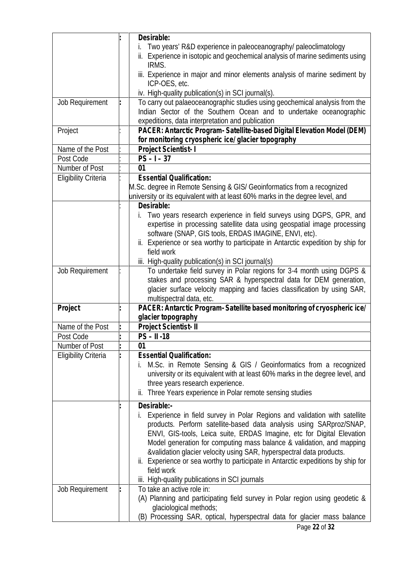|                             | Desirable:                                                                       |
|-----------------------------|----------------------------------------------------------------------------------|
|                             | Two years' R&D experience in paleoceanography/ paleoclimatology                  |
|                             | ii. Experience in isotopic and geochemical analysis of marine sediments using    |
|                             | IRMS.                                                                            |
|                             | iii. Experience in major and minor elements analysis of marine sediment by       |
|                             | ICP-OES, etc.                                                                    |
|                             | iv. High-quality publication(s) in SCI journal(s).                               |
| Job Requirement             | To carry out palaeoceanographic studies using geochemical analysis from the      |
|                             | Indian Sector of the Southern Ocean and to undertake oceanographic               |
|                             |                                                                                  |
|                             | expeditions, data interpretation and publication                                 |
| Project                     | PACER: Antarctic Program- Satellite-based Digital Elevation Model (DEM)          |
|                             | for monitoring cryospheric ice/ glacier topography                               |
| Name of the Post            | Project Scientist-1                                                              |
| Post Code                   | $PS - 1 - 37$                                                                    |
| Number of Post              | 01                                                                               |
| <b>Eligibility Criteria</b> | <b>Essential Qualification:</b>                                                  |
|                             | M.Sc. degree in Remote Sensing & GIS/ Geoinformatics from a recognized           |
|                             | university or its equivalent with at least 60% marks in the degree level, and    |
|                             | Desirable:                                                                       |
|                             | Two years research experience in field surveys using DGPS, GPR, and<br>i.        |
|                             | expertise in processing satellite data using geospatial image processing         |
|                             | software (SNAP, GIS tools, ERDAS IMAGINE, ENVI, etc).                            |
|                             | ii. Experience or sea worthy to participate in Antarctic expedition by ship for  |
|                             | field work                                                                       |
|                             | iii. High-quality publication(s) in SCI journal(s)                               |
|                             | To undertake field survey in Polar regions for 3-4 month using DGPS &            |
| Job Requirement             |                                                                                  |
|                             | stakes and processing SAR & hyperspectral data for DEM generation,               |
|                             | glacier surface velocity mapping and facies classification by using SAR,         |
|                             | multispectral data, etc.                                                         |
| Project                     | PACER: Antarctic Program-Satellite based monitoring of cryospheric ice/          |
|                             | glacier topography                                                               |
| Name of the Post            | Project Scientist- II                                                            |
| Post Code                   | $PS - II - 18$                                                                   |
| Number of Post              | 01                                                                               |
| <b>Eligibility Criteria</b> | <b>Essential Qualification:</b>                                                  |
|                             | M.Sc. in Remote Sensing & GIS / Geoinformatics from a recognized                 |
|                             | university or its equivalent with at least 60% marks in the degree level, and    |
|                             | three years research experience.                                                 |
|                             | ii. Three Years experience in Polar remote sensing studies                       |
|                             |                                                                                  |
|                             | Desirable:-                                                                      |
|                             | Experience in field survey in Polar Regions and validation with satellite        |
|                             | products. Perform satellite-based data analysis using SARproz/SNAP,              |
|                             | ENVI, GIS-tools, Leica suite, ERDAS Imagine, etc for Digital Elevation           |
|                             | Model generation for computing mass balance & validation, and mapping            |
|                             | &validation glacier velocity using SAR, hyperspectral data products.             |
|                             | ii. Experience or sea worthy to participate in Antarctic expeditions by ship for |
|                             | field work                                                                       |
|                             | iii. High-quality publications in SCI journals                                   |
|                             | To take an active role in:                                                       |
| <b>Job Requirement</b>      |                                                                                  |
|                             | (A) Planning and participating field survey in Polar region using geodetic &     |
|                             | glaciological methods;                                                           |
|                             | (B) Processing SAR, optical, hyperspectral data for glacier mass balance         |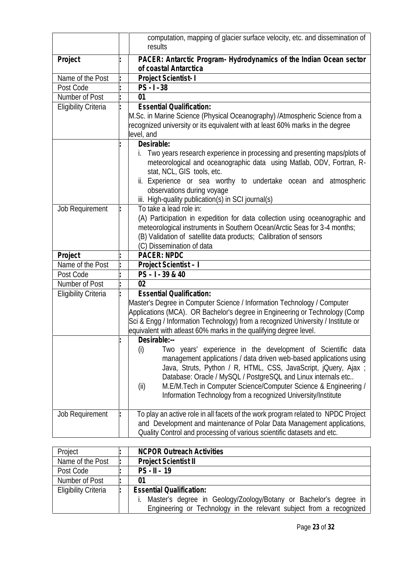|                             | computation, mapping of glacier surface velocity, etc. and dissemination of<br>results                                                                                                                                                                                                                                                                                                                                                  |
|-----------------------------|-----------------------------------------------------------------------------------------------------------------------------------------------------------------------------------------------------------------------------------------------------------------------------------------------------------------------------------------------------------------------------------------------------------------------------------------|
| Project                     | PACER: Antarctic Program- Hydrodynamics of the Indian Ocean sector<br>of coastal Antarctica                                                                                                                                                                                                                                                                                                                                             |
| Name of the Post            | Project Scientist-1                                                                                                                                                                                                                                                                                                                                                                                                                     |
| Post Code                   | $PS - 1 - 38$                                                                                                                                                                                                                                                                                                                                                                                                                           |
| Number of Post              | 01                                                                                                                                                                                                                                                                                                                                                                                                                                      |
| <b>Eligibility Criteria</b> | <b>Essential Qualification:</b>                                                                                                                                                                                                                                                                                                                                                                                                         |
|                             | M.Sc. in Marine Science (Physical Oceanography) / Atmospheric Science from a<br>recognized university or its equivalent with at least 60% marks in the degree<br>level, and                                                                                                                                                                                                                                                             |
|                             | Desirable:                                                                                                                                                                                                                                                                                                                                                                                                                              |
|                             | Two years research experience in processing and presenting maps/plots of<br>meteorological and oceanographic data using Matlab, ODV, Fortran, R-<br>stat, NCL, GIS tools, etc.<br>ii. Experience or sea worthy to undertake ocean and atmospheric<br>observations during voyage                                                                                                                                                         |
|                             | iii. High-quality publication(s) in SCI journal(s)                                                                                                                                                                                                                                                                                                                                                                                      |
| <b>Job Requirement</b>      | To take a lead role in:                                                                                                                                                                                                                                                                                                                                                                                                                 |
|                             | (A) Participation in expedition for data collection using oceanographic and<br>meteorological instruments in Southern Ocean/Arctic Seas for 3-4 months;<br>(B) Validation of satellite data products; Calibration of sensors<br>(C) Dissemination of data                                                                                                                                                                               |
| Project                     | <b>PACER: NPDC</b>                                                                                                                                                                                                                                                                                                                                                                                                                      |
| Name of the Post            | Project Scientist - I                                                                                                                                                                                                                                                                                                                                                                                                                   |
| Post Code                   | $PS - 1 - 39 & 40$                                                                                                                                                                                                                                                                                                                                                                                                                      |
| Number of Post              | 0 <sub>2</sub>                                                                                                                                                                                                                                                                                                                                                                                                                          |
| <b>Eligibility Criteria</b> | <b>Essential Qualification:</b><br>Master's Degree in Computer Science / Information Technology / Computer<br>Applications (MCA). OR Bachelor's degree in Engineering or Technology (Comp<br>Sci & Engg / Information Technology) from a recognized University / Institute or<br>equivalent with atleast 60% marks in the qualifying degree level.                                                                                      |
|                             | Desirable:--<br>Two years' experience in the development of Scientific data<br>(i)<br>management applications / data driven web-based applications using<br>Java, Struts, Python / R, HTML, CSS, JavaScript, jQuery, Ajax;<br>Database: Oracle / MySQL / PostgreSQL and Linux internals etc<br>M.E/M.Tech in Computer Science/Computer Science & Engineering /<br>(ii)<br>Information Technology from a recognized University/Institute |
| <b>Job Requirement</b>      | To play an active role in all facets of the work program related to NPDC Project<br>and Development and maintenance of Polar Data Management applications,<br>Quality Control and processing of various scientific datasets and etc.                                                                                                                                                                                                    |

| Project                     | <b>NCPOR Outreach Activities</b>                                    |
|-----------------------------|---------------------------------------------------------------------|
| Name of the Post            | <b>Project Scientist II</b>                                         |
| Post Code                   | $PS - II - 19$                                                      |
| Number of Post              | 01                                                                  |
| <b>Eligibility Criteria</b> | <b>Essential Qualification:</b>                                     |
|                             | Master's degree in Geology/Zoology/Botany or Bachelor's degree in   |
|                             | Engineering or Technology in the relevant subject from a recognized |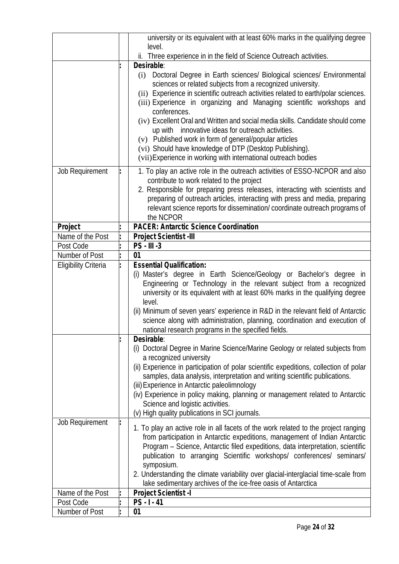|                                                            | university or its equivalent with at least 60% marks in the qualifying degree<br>level.                                                                                                                                                                                                                                                                                                                                                                                                                                                                                                                                                                                                                                                                                                                                                                                                                                                                                                                                                              |
|------------------------------------------------------------|------------------------------------------------------------------------------------------------------------------------------------------------------------------------------------------------------------------------------------------------------------------------------------------------------------------------------------------------------------------------------------------------------------------------------------------------------------------------------------------------------------------------------------------------------------------------------------------------------------------------------------------------------------------------------------------------------------------------------------------------------------------------------------------------------------------------------------------------------------------------------------------------------------------------------------------------------------------------------------------------------------------------------------------------------|
|                                                            | ii. Three experience in in the field of Science Outreach activities.                                                                                                                                                                                                                                                                                                                                                                                                                                                                                                                                                                                                                                                                                                                                                                                                                                                                                                                                                                                 |
|                                                            | Desirable:                                                                                                                                                                                                                                                                                                                                                                                                                                                                                                                                                                                                                                                                                                                                                                                                                                                                                                                                                                                                                                           |
|                                                            | Doctoral Degree in Earth sciences/ Biological sciences/ Environmental<br>(i)<br>sciences or related subjects from a recognized university.<br>(ii) Experience in scientific outreach activities related to earth/polar sciences.<br>(iii) Experience in organizing and Managing scientific workshops and<br>conferences.<br>(iv) Excellent Oral and Written and social media skills. Candidate should come<br>up with innovative ideas for outreach activities.<br>(v) Published work in form of general/popular articles<br>(vi) Should have knowledge of DTP (Desktop Publishing).                                                                                                                                                                                                                                                                                                                                                                                                                                                                 |
|                                                            | (vii) Experience in working with international outreach bodies                                                                                                                                                                                                                                                                                                                                                                                                                                                                                                                                                                                                                                                                                                                                                                                                                                                                                                                                                                                       |
| Job Requirement                                            | 1. To play an active role in the outreach activities of ESSO-NCPOR and also<br>contribute to work related to the project<br>2. Responsible for preparing press releases, interacting with scientists and<br>preparing of outreach articles, interacting with press and media, preparing<br>relevant science reports for dissemination/coordinate outreach programs of                                                                                                                                                                                                                                                                                                                                                                                                                                                                                                                                                                                                                                                                                |
|                                                            | the NCPOR<br><b>PACER: Antarctic Science Coordination</b>                                                                                                                                                                                                                                                                                                                                                                                                                                                                                                                                                                                                                                                                                                                                                                                                                                                                                                                                                                                            |
| Project<br>Name of the Post                                | Project Scientist -III                                                                                                                                                                                                                                                                                                                                                                                                                                                                                                                                                                                                                                                                                                                                                                                                                                                                                                                                                                                                                               |
|                                                            |                                                                                                                                                                                                                                                                                                                                                                                                                                                                                                                                                                                                                                                                                                                                                                                                                                                                                                                                                                                                                                                      |
| Post Code<br>Number of Post<br><b>Eligibility Criteria</b> | PS - III -3<br>01<br><b>Essential Qualification:</b><br>Master's degree in Earth Science/Geology or Bachelor's degree in<br>(i)<br>Engineering or Technology in the relevant subject from a recognized<br>university or its equivalent with at least 60% marks in the qualifying degree<br>level.<br>(ii) Minimum of seven years' experience in R&D in the relevant field of Antarctic<br>science along with administration, planning, coordination and execution of<br>national research programs in the specified fields.<br>Desirable:<br>(i) Doctoral Degree in Marine Science/Marine Geology or related subjects from<br>a recognized university<br>(ii) Experience in participation of polar scientific expeditions, collection of polar<br>samples, data analysis, interpretation and writing scientific publications.<br>(iii) Experience in Antarctic paleolimnology<br>(iv) Experience in policy making, planning or management related to Antarctic<br>Science and logistic activities.<br>(v) High quality publications in SCI journals. |
| Job Requirement                                            | 1. To play an active role in all facets of the work related to the project ranging<br>from participation in Antarctic expeditions, management of Indian Antarctic<br>Program - Science, Antarctic filed expeditions, data interpretation, scientific<br>publication to arranging Scientific workshops/ conferences/ seminars/<br>symposium.<br>2. Understanding the climate variability over glacial-interglacial time-scale from<br>lake sedimentary archives of the ice-free oasis of Antarctica                                                                                                                                                                                                                                                                                                                                                                                                                                                                                                                                                   |
| Name of the Post<br>Post Code                              | Project Scientist -I<br>$PS - 1 - 41$                                                                                                                                                                                                                                                                                                                                                                                                                                                                                                                                                                                                                                                                                                                                                                                                                                                                                                                                                                                                                |
| Number of Post                                             | 01                                                                                                                                                                                                                                                                                                                                                                                                                                                                                                                                                                                                                                                                                                                                                                                                                                                                                                                                                                                                                                                   |
|                                                            |                                                                                                                                                                                                                                                                                                                                                                                                                                                                                                                                                                                                                                                                                                                                                                                                                                                                                                                                                                                                                                                      |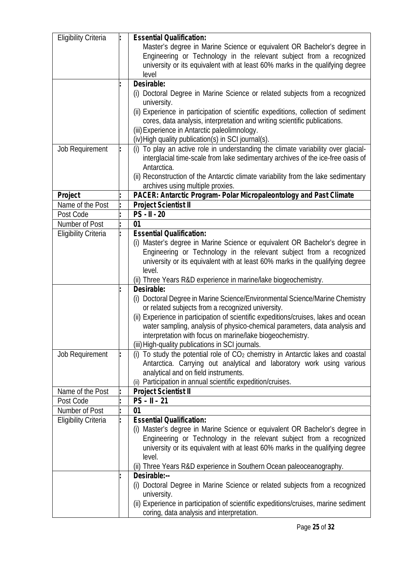| <b>Eligibility Criteria</b> | <b>Essential Qualification:</b><br>Master's degree in Marine Science or equivalent OR Bachelor's degree in<br>Engineering or Technology in the relevant subject from a recognized<br>university or its equivalent with at least 60% marks in the qualifying degree<br>level                                                                                                                                                                                                                                                                                  |
|-----------------------------|--------------------------------------------------------------------------------------------------------------------------------------------------------------------------------------------------------------------------------------------------------------------------------------------------------------------------------------------------------------------------------------------------------------------------------------------------------------------------------------------------------------------------------------------------------------|
|                             | Desirable:<br>(i) Doctoral Degree in Marine Science or related subjects from a recognized<br>university.<br>(ii) Experience in participation of scientific expeditions, collection of sediment<br>cores, data analysis, interpretation and writing scientific publications.<br>(iii) Experience in Antarctic paleolimnology.<br>(iv) High quality publication(s) in SCI journal(s).                                                                                                                                                                          |
| Job Requirement             | (i) To play an active role in understanding the climate variability over glacial-<br>interglacial time-scale from lake sedimentary archives of the ice-free oasis of<br>Antarctica.<br>(ii) Reconstruction of the Antarctic climate variability from the lake sedimentary<br>archives using multiple proxies.                                                                                                                                                                                                                                                |
| Project                     | PACER: Antarctic Program- Polar Micropaleontology and Past Climate                                                                                                                                                                                                                                                                                                                                                                                                                                                                                           |
| Name of the Post            | <b>Project Scientist II</b>                                                                                                                                                                                                                                                                                                                                                                                                                                                                                                                                  |
| Post Code                   | $PS - II - 20$                                                                                                                                                                                                                                                                                                                                                                                                                                                                                                                                               |
| Number of Post              | 01                                                                                                                                                                                                                                                                                                                                                                                                                                                                                                                                                           |
| <b>Eligibility Criteria</b> | <b>Essential Qualification:</b><br>(i) Master's degree in Marine Science or equivalent OR Bachelor's degree in<br>Engineering or Technology in the relevant subject from a recognized<br>university or its equivalent with at least 60% marks in the qualifying degree<br>level.<br>(ii) Three Years R&D experience in marine/lake biogeochemistry.                                                                                                                                                                                                          |
|                             | Desirable:<br>(i) Doctoral Degree in Marine Science/Environmental Science/Marine Chemistry<br>or related subjects from a recognized university.<br>(ii) Experience in participation of scientific expeditions/cruises, lakes and ocean<br>water sampling, analysis of physico-chemical parameters, data analysis and<br>interpretation with focus on marine/lake biogeochemistry.<br>(iii) High-quality publications in SCI journals.                                                                                                                        |
| Job Requirement             | To study the potential role of $CO2$ chemistry in Antarctic lakes and coastal<br>(i)<br>Antarctica. Carrying out analytical and laboratory work using various<br>analytical and on field instruments.<br>(ii) Participation in annual scientific expedition/cruises.                                                                                                                                                                                                                                                                                         |
| Name of the Post            | Project Scientist II                                                                                                                                                                                                                                                                                                                                                                                                                                                                                                                                         |
| Post Code                   | $PS - II - 21$                                                                                                                                                                                                                                                                                                                                                                                                                                                                                                                                               |
| Number of Post              | 01                                                                                                                                                                                                                                                                                                                                                                                                                                                                                                                                                           |
| <b>Eligibility Criteria</b> | <b>Essential Qualification:</b><br>(i) Master's degree in Marine Science or equivalent OR Bachelor's degree in<br>Engineering or Technology in the relevant subject from a recognized<br>university or its equivalent with at least 60% marks in the qualifying degree<br>level.<br>(ii) Three Years R&D experience in Southern Ocean paleoceanography.<br>Desirable:--<br>(i) Doctoral Degree in Marine Science or related subjects from a recognized<br>university.<br>(ii) Experience in participation of scientific expeditions/cruises, marine sediment |
|                             | coring, data analysis and interpretation.                                                                                                                                                                                                                                                                                                                                                                                                                                                                                                                    |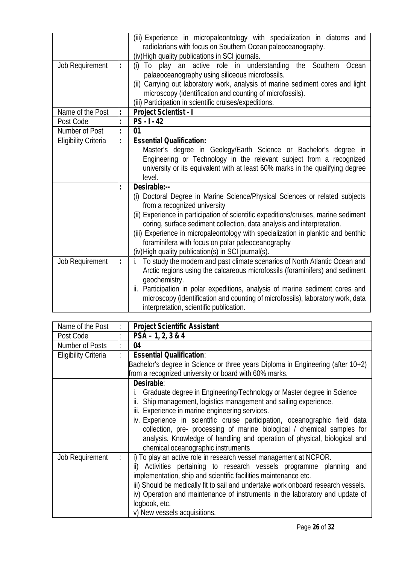|                             | (iii) Experience in micropaleontology with specialization in diatoms and<br>radiolarians with focus on Southern Ocean paleoceanography.<br>(iv) High quality publications in SCI journals.                                                                                                                                                                                                                                                                                                    |
|-----------------------------|-----------------------------------------------------------------------------------------------------------------------------------------------------------------------------------------------------------------------------------------------------------------------------------------------------------------------------------------------------------------------------------------------------------------------------------------------------------------------------------------------|
| Job Requirement             | (i) To play an active role in understanding the Southern Ocean<br>palaeoceanography using siliceous microfossils.<br>(ii) Carrying out laboratory work, analysis of marine sediment cores and light<br>microscopy (identification and counting of microfossils).<br>(iii) Participation in scientific cruises/expeditions.                                                                                                                                                                    |
| Name of the Post            | Project Scientist - I                                                                                                                                                                                                                                                                                                                                                                                                                                                                         |
| Post Code                   | $PS - 1 - 42$                                                                                                                                                                                                                                                                                                                                                                                                                                                                                 |
| Number of Post              | 01                                                                                                                                                                                                                                                                                                                                                                                                                                                                                            |
| <b>Eligibility Criteria</b> | <b>Essential Qualification:</b><br>Master's degree in Geology/Earth Science or Bachelor's degree in<br>Engineering or Technology in the relevant subject from a recognized<br>university or its equivalent with at least 60% marks in the qualifying degree<br>level.                                                                                                                                                                                                                         |
|                             | Desirable:--<br>(i) Doctoral Degree in Marine Science/Physical Sciences or related subjects<br>from a recognized university<br>(ii) Experience in participation of scientific expeditions/cruises, marine sediment<br>coring, surface sediment collection, data analysis and interpretation.<br>(iii) Experience in micropaleontology with specialization in planktic and benthic<br>foraminifera with focus on polar paleoceanography<br>(iv) High quality publication(s) in SCI journal(s). |
| Job Requirement             | To study the modern and past climate scenarios of North Atlantic Ocean and<br>İ.<br>Arctic regions using the calcareous microfossils (foraminifers) and sediment<br>geochemistry.<br>ii. Participation in polar expeditions, analysis of marine sediment cores and<br>microscopy (identification and counting of microfossils), laboratory work, data<br>interpretation, scientific publication.                                                                                              |

| Name of the Post            | <b>Project Scientific Assistant</b>                                               |
|-----------------------------|-----------------------------------------------------------------------------------|
| Post Code                   | $PSA - 1, 2, 3 & 4$                                                               |
| Number of Posts             | 04                                                                                |
| <b>Eligibility Criteria</b> | <b>Essential Qualification:</b>                                                   |
|                             | Bachelor's degree in Science or three years Diploma in Engineering (after 10+2)   |
|                             | from a recognized university or board with 60% marks.                             |
|                             | Desirable:                                                                        |
|                             | Graduate degree in Engineering/Technology or Master degree in Science             |
|                             | ii. Ship management, logistics management and sailing experience.                 |
|                             | iii. Experience in marine engineering services.                                   |
|                             | iv. Experience in scientific cruise participation, oceanographic field data       |
|                             | collection, pre- processing of marine biological / chemical samples for           |
|                             | analysis. Knowledge of handling and operation of physical, biological and         |
|                             | chemical oceanographic instruments                                                |
| Job Requirement             | i) To play an active role in research vessel management at NCPOR.                 |
|                             | ii) Activities pertaining to research vessels programme planning and              |
|                             | implementation, ship and scientific facilities maintenance etc.                   |
|                             | iii) Should be medically fit to sail and undertake work onboard research vessels. |
|                             | iv) Operation and maintenance of instruments in the laboratory and update of      |
|                             | logbook, etc.                                                                     |
|                             | v) New vessels acquisitions.                                                      |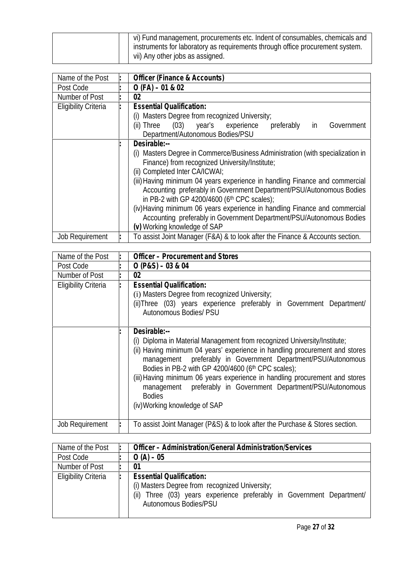|  | vi) Fund management, procurements etc. Indent of consumables, chemicals and<br>instruments for laboratory as requirements through office procurement system. |
|--|--------------------------------------------------------------------------------------------------------------------------------------------------------------|
|  | vii) Any other jobs as assigned.                                                                                                                             |

| Name of the Post            | Officer (Finance & Accounts)                                                                                                                                                                                                                                                                                                                                                                                                                                                                                                                   |
|-----------------------------|------------------------------------------------------------------------------------------------------------------------------------------------------------------------------------------------------------------------------------------------------------------------------------------------------------------------------------------------------------------------------------------------------------------------------------------------------------------------------------------------------------------------------------------------|
| Post Code                   | $O$ (FA) $-01$ & 02                                                                                                                                                                                                                                                                                                                                                                                                                                                                                                                            |
| Number of Post              | 02                                                                                                                                                                                                                                                                                                                                                                                                                                                                                                                                             |
| <b>Eligibility Criteria</b> | <b>Essential Qualification:</b>                                                                                                                                                                                                                                                                                                                                                                                                                                                                                                                |
|                             | (i) Masters Degree from recognized University;<br>(ii) Three (03) year's experience<br>Government<br>preferably<br>in<br>Department/Autonomous Bodies/PSU                                                                                                                                                                                                                                                                                                                                                                                      |
|                             | Desirable:--<br>(i) Masters Degree in Commerce/Business Administration (with specialization in<br>Finance) from recognized University/Institute;<br>(ii) Completed Inter CA/ICWAI;<br>(iii) Having minimum 04 years experience in handling Finance and commercial<br>Accounting preferably in Government Department/PSU/Autonomous Bodies<br>in PB-2 with GP 4200/4600 (6th CPC scales);<br>(iv) Having minimum 06 years experience in handling Finance and commercial<br>Accounting preferably in Government Department/PSU/Autonomous Bodies |
| <b>Job Requirement</b>      | (v) Working knowledge of SAP<br>To assist Joint Manager (F&A) & to look after the Finance & Accounts section.                                                                                                                                                                                                                                                                                                                                                                                                                                  |

| Name of the Post            | Officer - Procurement and Stores                                                                                                                                                                                                                                                                                                                                                                                                                                                                 |
|-----------------------------|--------------------------------------------------------------------------------------------------------------------------------------------------------------------------------------------------------------------------------------------------------------------------------------------------------------------------------------------------------------------------------------------------------------------------------------------------------------------------------------------------|
| Post Code                   | $O (P & S) - 03 & 04$                                                                                                                                                                                                                                                                                                                                                                                                                                                                            |
| Number of Post              | 02                                                                                                                                                                                                                                                                                                                                                                                                                                                                                               |
| <b>Eligibility Criteria</b> | <b>Essential Qualification:</b><br>(i) Masters Degree from recognized University;<br>(ii) Three (03) years experience preferably in Government Department/<br><b>Autonomous Bodies/ PSU</b>                                                                                                                                                                                                                                                                                                      |
|                             | Desirable:--<br>(i) Diploma in Material Management from recognized University/Institute;<br>(ii) Having minimum 04 years' experience in handling procurement and stores<br>management preferably in Government Department/PSU/Autonomous<br>Bodies in PB-2 with GP 4200/4600 (6th CPC scales);<br>(iii) Having minimum 06 years experience in handling procurement and stores<br>management preferably in Government Department/PSU/Autonomous<br><b>Bodies</b><br>(iv) Working knowledge of SAP |
| Job Requirement             | To assist Joint Manager (P&S) & to look after the Purchase & Stores section.                                                                                                                                                                                                                                                                                                                                                                                                                     |

| Name of the Post            | Officer - Administration/General Administration/Services                                                                                                                            |
|-----------------------------|-------------------------------------------------------------------------------------------------------------------------------------------------------------------------------------|
| Post Code                   | $O (A) - 05$                                                                                                                                                                        |
| Number of Post              | 01                                                                                                                                                                                  |
| <b>Eligibility Criteria</b> | <b>Essential Qualification:</b><br>(i) Masters Degree from recognized University;<br>(ii) Three (03) years experience preferably in Government Department/<br>Autonomous Bodies/PSU |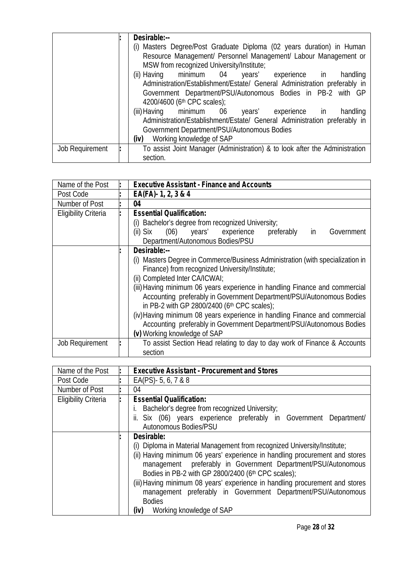|                 | Desirable:--                                                                |
|-----------------|-----------------------------------------------------------------------------|
|                 | (i) Masters Degree/Post Graduate Diploma (02 years duration) in Human       |
|                 | Resource Management/ Personnel Management/ Labour Management or             |
|                 | MSW from recognized University/Institute;                                   |
|                 | (ii) Having minimum 04 years' experience in handling                        |
|                 | Administration/Establishment/Estate/ General Administration preferably in   |
|                 | Government Department/PSU/Autonomous Bodies in PB-2 with GP                 |
|                 | 4200/4600 (6 <sup>th</sup> CPC scales);                                     |
|                 | (iii) Having minimum 06 years' experience in<br>handling                    |
|                 | Administration/Establishment/Estate/ General Administration preferably in   |
|                 | Government Department/PSU/Autonomous Bodies                                 |
|                 | Working knowledge of SAP<br>(iv)                                            |
| Job Requirement | To assist Joint Manager (Administration) & to look after the Administration |
|                 | section.                                                                    |

| Name of the Post            | <b>Executive Assistant - Finance and Accounts</b>                                                                                                                                                                                                                                                                                                                                                                                                                                                                                                                              |
|-----------------------------|--------------------------------------------------------------------------------------------------------------------------------------------------------------------------------------------------------------------------------------------------------------------------------------------------------------------------------------------------------------------------------------------------------------------------------------------------------------------------------------------------------------------------------------------------------------------------------|
| Post Code                   | $EA(FA) - 1, 2, 3 & 4$                                                                                                                                                                                                                                                                                                                                                                                                                                                                                                                                                         |
| Number of Post              | 04                                                                                                                                                                                                                                                                                                                                                                                                                                                                                                                                                                             |
| <b>Eligibility Criteria</b> | <b>Essential Qualification:</b><br>(i) Bachelor's degree from recognized University;<br>(ii) Six (06) years' experience<br>preferably<br>Government<br>in<br>Department/Autonomous Bodies/PSU                                                                                                                                                                                                                                                                                                                                                                                  |
|                             | Desirable:--<br>(i) Masters Degree in Commerce/Business Administration (with specialization in<br>Finance) from recognized University/Institute;<br>(ii) Completed Inter CA/ICWAI;<br>(iii) Having minimum 06 years experience in handling Finance and commercial<br>Accounting preferably in Government Department/PSU/Autonomous Bodies<br>in PB-2 with GP 2800/2400 (6th CPC scales);<br>(iv) Having minimum 08 years experience in handling Finance and commercial<br>Accounting preferably in Government Department/PSU/Autonomous Bodies<br>(v) Working knowledge of SAP |
| <b>Job Requirement</b>      | To assist Section Head relating to day to day work of Finance & Accounts<br>section                                                                                                                                                                                                                                                                                                                                                                                                                                                                                            |

| Name of the Post            | <b>Executive Assistant - Procurement and Stores</b>                          |
|-----------------------------|------------------------------------------------------------------------------|
| Post Code                   | EA(PS) - 5, 6, 7 & 8                                                         |
| Number of Post              | 04                                                                           |
| <b>Eligibility Criteria</b> | <b>Essential Qualification:</b>                                              |
|                             | Bachelor's degree from recognized University;                                |
|                             | ii. Six (06) years experience preferably in Government Department/           |
|                             | Autonomous Bodies/PSU                                                        |
|                             | Desirable:                                                                   |
|                             | (i) Diploma in Material Management from recognized University/Institute;     |
|                             | (ii) Having minimum 06 years' experience in handling procurement and stores  |
|                             | management preferably in Government Department/PSU/Autonomous                |
|                             | Bodies in PB-2 with GP 2800/2400 (6th CPC scales);                           |
|                             | (iii) Having minimum 08 years' experience in handling procurement and stores |
|                             | management preferably in Government Department/PSU/Autonomous                |
|                             | <b>Bodies</b>                                                                |
|                             | (iv) Working knowledge of SAP                                                |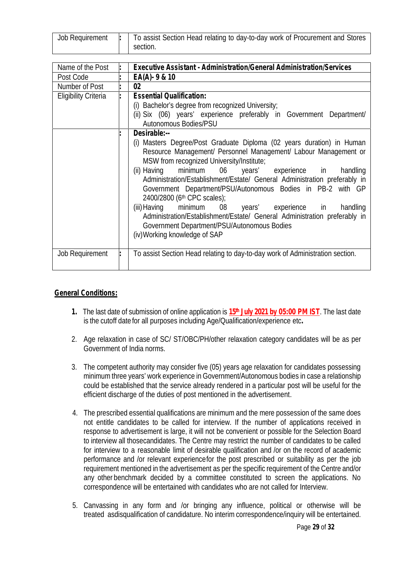| Job Requirement | To assist Section Head relating to day-to-day work of Procurement and Stores |
|-----------------|------------------------------------------------------------------------------|
|                 | section.                                                                     |

| Name of the Post            | Executive Assistant - Administration/General Administration/Services                                                                                                                                                                                                                                                                                                                                                                                   |
|-----------------------------|--------------------------------------------------------------------------------------------------------------------------------------------------------------------------------------------------------------------------------------------------------------------------------------------------------------------------------------------------------------------------------------------------------------------------------------------------------|
| Post Code                   | $EA(A) - 9 & 10$                                                                                                                                                                                                                                                                                                                                                                                                                                       |
| Number of Post              | 02                                                                                                                                                                                                                                                                                                                                                                                                                                                     |
| <b>Eligibility Criteria</b> | <b>Essential Qualification:</b><br>(i) Bachelor's degree from recognized University;<br>(ii) Six (06) years' experience preferably in Government Department/<br>Autonomous Bodies/PSU<br>Desirable:--<br>(i) Masters Degree/Post Graduate Diploma (02 years duration) in Human<br>Resource Management/ Personnel Management/ Labour Management or<br>MSW from recognized University/Institute;<br>(ii) Having minimum 06 years' experience in handling |
|                             | Administration/Establishment/Estate/ General Administration preferably in<br>Government Department/PSU/Autonomous Bodies in PB-2 with GP<br>2400/2800 (6th CPC scales);<br>(iii) Having minimum 08 years' experience in handling<br>Administration/Establishment/Estate/ General Administration preferably in<br>Government Department/PSU/Autonomous Bodies<br>(iv) Working knowledge of SAP                                                          |
| <b>Job Requirement</b>      | To assist Section Head relating to day-to-day work of Administration section.                                                                                                                                                                                                                                                                                                                                                                          |

## **General Conditions:**

- **1.** The last date of submission of online application is **15th July 2021 by 05:00 PM IST**. The last date is the cutoff date for all purposes including Age/Qualification/experience etc**.**
- 2. Age relaxation in case of SC/ ST/OBC/PH/other relaxation category candidates will be as per Government of India norms.
- 3. The competent authority may consider five (05) years age relaxation for candidates possessing minimum three years' work experience in Government/Autonomous bodies in case a relationship could be established that the service already rendered in a particular post will be useful for the efficient discharge of the duties of post mentioned in the advertisement.
- 4. The prescribed essential qualifications are minimum and the mere possession of the same does not entitle candidates to be called for interview. If the number of applications received in response to advertisement is large, it will not be convenient or possible for the Selection Board to interview all thosecandidates. The Centre may restrict the number of candidates to be called for interview to a reasonable limit of desirable qualification and /or on the record of academic performance and /or relevant experiencefor the post prescribed or suitability as per the job requirement mentioned in the advertisement as per the specific requirement of the Centre and/or any other benchmark decided by a committee constituted to screen the applications. No correspondence will be entertained with candidates who are not called for Interview.
- 5. Canvassing in any form and /or bringing any influence, political or otherwise will be treated asdisqualification of candidature. No interim correspondence/inquiry will be entertained.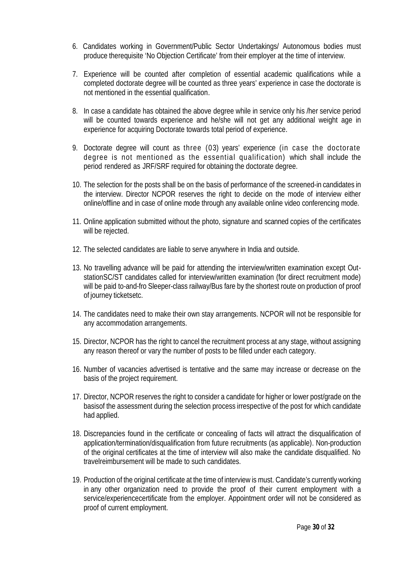- 6. Candidates working in Government/Public Sector Undertakings/ Autonomous bodies must produce therequisite 'No Objection Certificate' from their employer at the time of interview.
- 7. Experience will be counted after completion of essential academic qualifications while a completed doctorate degree will be counted as three years' experience in case the doctorate is not mentioned in the essential qualification.
- 8. In case a candidate has obtained the above degree while in service only his /her service period will be counted towards experience and he/she will not get any additional weight age in experience for acquiring Doctorate towards total period of experience.
- 9. Doctorate degree will count as three (03) years' experience (in case the doctorate degree is not mentioned as the essential qualification) which shall include the period rendered as JRF/SRF required for obtaining the doctorate degree.
- 10. The selection for the posts shall be on the basis of performance of the screened-in candidates in the interview. Director NCPOR reserves the right to decide on the mode of interview either online/offline and in case of online mode through any available online video conferencing mode.
- 11. Online application submitted without the photo, signature and scanned copies of the certificates will be rejected.
- 12. The selected candidates are liable to serve anywhere in India and outside.
- 13. No travelling advance will be paid for attending the interview/written examination except Out stationSC/ST candidates called for interview/written examination (for direct recruitment mode) will be paid to-and-fro Sleeper-class railway/Bus fare by the shortest route on production of proof of journey ticketsetc.
- 14. The candidates need to make their own stay arrangements. NCPOR will not be responsible for any accommodation arrangements.
- 15. Director, NCPOR has the right to cancel the recruitment process at any stage, without assigning any reason thereof or vary the number of posts to be filled under each category.
- 16. Number of vacancies advertised is tentative and the same may increase or decrease on the basis of the project requirement.
- 17. Director, NCPOR reserves the right to consider a candidate for higher or lower post/grade on the basisof the assessment during the selection process irrespective of the post for which candidate had applied.
- 18. Discrepancies found in the certificate or concealing of facts will attract the disqualification of application/termination/disqualification from future recruitments (as applicable). Non-production of the original certificates at the time of interview will also make the candidate disqualified. No travelreimbursement will be made to such candidates.
- 19. Production of the original certificate at the time of interview is must. Candidate's currently working in any other organization need to provide the proof of their current employment with a service/experiencecertificate from the employer. Appointment order will not be considered as proof of current employment.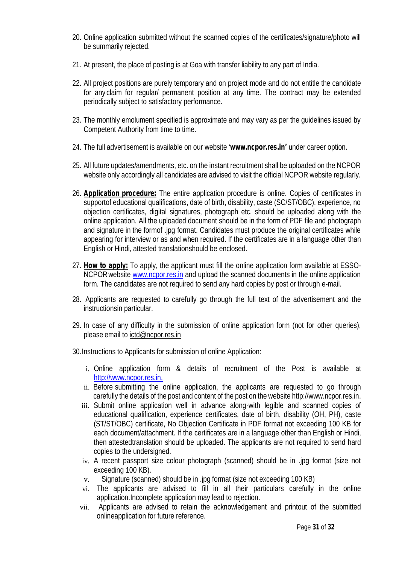- 20. Online application submitted without the scanned copies of the certificates/signature/photo will be summarily rejected.
- 21. At present, the place of posting is atGoa with transfer liability to any part of India.
- 22. All project positions are purely temporary and on project mode and do not entitle the candidate for any claim for regular/ permanent position at any time. The contract may be extended periodically subject to satisfactory performance.
- 23. The monthly emolument specified is approximate and may vary as per the guidelines issued by Competent Authority from time to time.
- 24. The full advertisement is available on our website '**www.ncpor.res.in'** under career option.
- 25. All future updates/amendments, etc. on the instant recruitment shall be uploaded on the NCPOR website only accordingly all candidates are advised to visit the official NCPOR website regularly.
- 26. **Application procedure:** The entire application procedure is online. Copies of certificates in supportof educational qualifications, date of birth, disability, caste (SC/ST/OBC), experience, no objection certificates, digital signatures, photograph etc. should be uploaded along with the online application. All the uploaded document should be in the form of PDF file and photograph and signature in the formof .jpg format. Candidates must produce the original certificates while appearing for interview or as and when required. If the certificates are in a language other than English or Hindi, attested translationshould be enclosed.
- 27. **How to apply:** To apply, the applicant must fill the online application form available at ESSO- NCPOR website www.ncpor.res.in and upload the scanned documents in the online application form. The candidates are not required to send any hard copies by post or through e-mail.
- 28. Applicants are requested to carefully go through the full text of the advertisement and the instructionsin particular.
- 29. In case of any difficulty in the submission of online application form (not forother queries), please email to ictd@ncpor.res.in

30.Instructions to Applicants for submission of online Application:

- i. Online application form & details of recruitment of the Post is available at http://www.ncpor.res.in.
- ii. Before submitting the online application, the applicants are requested to go through carefully the details of the post and content of the post on the website http://www.ncpor.res.in.
- iii. Submit online application well in advance along-with legible and scanned copies of educational qualification, experience certificates, date of birth, disability (OH, PH), caste (ST/ST/OBC) certificate, No Objection Certificate in PDF format not exceeding 100 KB for each document/attachment. If the certificates are in a language other than English or Hindi, then attestedtranslation should be uploaded. The applicants are not required to send hard copies to the undersigned.
- iv. A recent passport size colour photograph (scanned) should be in .jpg format (size not exceeding 100 KB).
- v. Signature (scanned) should be in .jpg format (size not exceeding 100 KB)
- vi. The applicants are advised to fill in all their particulars carefully in the online application.Incomplete application may lead to rejection.
- vii. Applicants are advised to retain the acknowledgement and printout of the submitted onlineapplication for future reference.